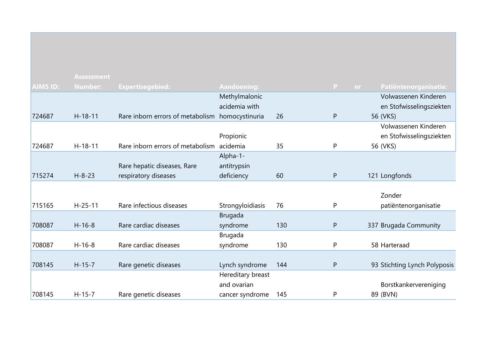|                 | <b>Assessment</b> |                                  |                    |     |           |     |                              |
|-----------------|-------------------|----------------------------------|--------------------|-----|-----------|-----|------------------------------|
| <b>AIMS ID:</b> | <b>Number:</b>    | <b>Expertisegebied:</b>          | <b>Aandoening:</b> |     | P         | nr. | Patiëntenorganisatie:        |
|                 |                   |                                  | Methylmalonic      |     |           |     | Volwassenen Kinderen         |
|                 |                   |                                  | acidemia with      |     |           |     | en Stofwisselingsziekten     |
| 724687          | $H-18-11$         | Rare inborn errors of metabolism | homocystinuria     | 26  | P         |     | 56 (VKS)                     |
|                 |                   |                                  |                    |     |           |     | Volwassenen Kinderen         |
|                 |                   |                                  | Propionic          |     |           |     | en Stofwisselingsziekten     |
| 724687          | $H - 18 - 11$     | Rare inborn errors of metabolism | acidemia           | 35  | P         |     | 56 (VKS)                     |
|                 |                   |                                  | Alpha-1-           |     |           |     |                              |
|                 |                   | Rare hepatic diseases, Rare      | antitrypsin        |     |           |     |                              |
| 715274          | $H - 8 - 23$      | respiratory diseases             | deficiency         | 60  | ${\sf P}$ |     | 121 Longfonds                |
|                 |                   |                                  |                    |     |           |     |                              |
|                 |                   |                                  |                    |     |           |     | Zonder                       |
| 715165          | $H-25-11$         | Rare infectious diseases         | Strongyloidiasis   | 76  | P         |     | patiëntenorganisatie         |
|                 |                   |                                  | <b>Brugada</b>     |     |           |     |                              |
| 708087          | $H - 16 - 8$      | Rare cardiac diseases            | syndrome           | 130 | ${\sf P}$ |     | 337 Brugada Community        |
|                 |                   |                                  | <b>Brugada</b>     |     |           |     |                              |
| 708087          | $H-16-8$          | Rare cardiac diseases            | syndrome           | 130 | P         |     | 58 Harteraad                 |
|                 |                   |                                  |                    |     |           |     |                              |
| 708145          | $H - 15 - 7$      | Rare genetic diseases            | Lynch syndrome     | 144 | ${\sf P}$ |     | 93 Stichting Lynch Polyposis |
|                 |                   |                                  | Hereditary breast  |     |           |     |                              |
|                 |                   |                                  | and ovarian        |     |           |     | Borstkankervereniging        |
| 708145          | $H - 15 - 7$      | Rare genetic diseases            | cancer syndrome    | 145 | P         |     | 89 (BVN)                     |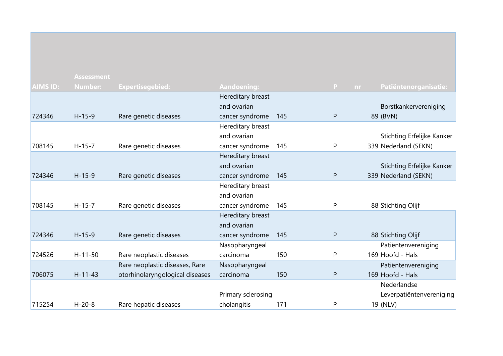|          | <b>Assessment</b> |                                 |                    |     |              |                                    |
|----------|-------------------|---------------------------------|--------------------|-----|--------------|------------------------------------|
| AIMS ID: | <b>Number:</b>    | <b>Expertisegebied:</b>         | <b>Aandoening:</b> |     | $\mathbf{P}$ | Patiëntenorganisatie:<br><b>nr</b> |
|          |                   |                                 | Hereditary breast  |     |              |                                    |
|          |                   |                                 | and ovarian        |     |              | Borstkankervereniging              |
| 724346   | $H-15-9$          | Rare genetic diseases           | cancer syndrome    | 145 | P            | 89 (BVN)                           |
|          |                   |                                 | Hereditary breast  |     |              |                                    |
|          |                   |                                 | and ovarian        |     |              | Stichting Erfelijke Kanker         |
| 708145   | $H - 15 - 7$      | Rare genetic diseases           | cancer syndrome    | 145 | P            | 339 Nederland (SEKN)               |
|          |                   |                                 | Hereditary breast  |     |              |                                    |
|          |                   |                                 | and ovarian        |     |              | Stichting Erfelijke Kanker         |
| 724346   | $H-15-9$          | Rare genetic diseases           | cancer syndrome    | 145 | ${\sf P}$    | 339 Nederland (SEKN)               |
|          |                   |                                 | Hereditary breast  |     |              |                                    |
|          |                   |                                 | and ovarian        |     |              |                                    |
| 708145   | $H - 15 - 7$      | Rare genetic diseases           | cancer syndrome    | 145 | P            | 88 Stichting Olijf                 |
|          |                   |                                 | Hereditary breast  |     |              |                                    |
|          |                   |                                 | and ovarian        |     |              |                                    |
| 724346   | $H-15-9$          | Rare genetic diseases           | cancer syndrome    | 145 | ${\sf P}$    | 88 Stichting Olijf                 |
|          |                   |                                 | Nasopharyngeal     |     |              | Patiëntenvereniging                |
| 724526   | $H - 11 - 50$     | Rare neoplastic diseases        | carcinoma          | 150 | P            | 169 Hoofd - Hals                   |
|          |                   | Rare neoplastic diseases, Rare  | Nasopharyngeal     |     |              | Patiëntenvereniging                |
| 706075   | $H - 11 - 43$     | otorhinolaryngological diseases | carcinoma          | 150 | ${\sf P}$    | 169 Hoofd - Hals                   |
|          |                   |                                 |                    |     |              | Nederlandse                        |
|          |                   |                                 | Primary sclerosing |     |              | Leverpatiëntenvereniging           |
| 715254   | $H - 20 - 8$      | Rare hepatic diseases           | cholangitis        | 171 | P            | 19 (NLV)                           |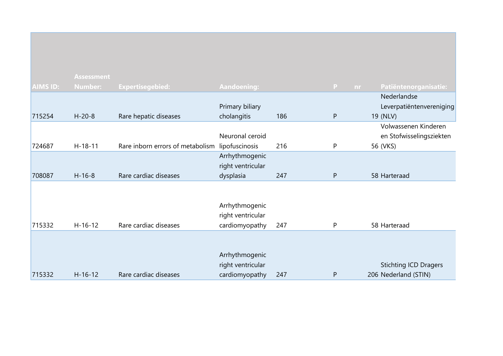|          | <b>Assessment</b> |                                  |                    |     |              |          |                              |
|----------|-------------------|----------------------------------|--------------------|-----|--------------|----------|------------------------------|
| AIMS ID: | <b>Number:</b>    | <b>Expertisegebied:</b>          | <b>Aandoening:</b> |     | $\mathbf{P}$ | nr       | Patiëntenorganisatie:        |
|          |                   |                                  |                    |     |              |          | Nederlandse                  |
|          |                   |                                  | Primary biliary    |     |              |          | Leverpatiëntenvereniging     |
| 715254   | $H - 20 - 8$      | Rare hepatic diseases            | cholangitis        | 186 | $\mathsf{P}$ | 19 (NLV) |                              |
|          |                   |                                  |                    |     |              |          | Volwassenen Kinderen         |
|          |                   |                                  | Neuronal ceroid    |     |              |          | en Stofwisselingsziekten     |
| 724687   | $H-18-11$         | Rare inborn errors of metabolism | lipofuscinosis     | 216 | P            | 56 (VKS) |                              |
|          |                   |                                  | Arrhythmogenic     |     |              |          |                              |
|          |                   |                                  | right ventricular  |     |              |          |                              |
| 708087   | $H-16-8$          | Rare cardiac diseases            | dysplasia          | 247 | $\mathsf{P}$ |          | 58 Harteraad                 |
|          |                   |                                  |                    |     |              |          |                              |
|          |                   |                                  |                    |     |              |          |                              |
|          |                   |                                  | Arrhythmogenic     |     |              |          |                              |
|          |                   |                                  | right ventricular  |     |              |          |                              |
| 715332   | $H-16-12$         | Rare cardiac diseases            | cardiomyopathy     | 247 | P            |          | 58 Harteraad                 |
|          |                   |                                  |                    |     |              |          |                              |
|          |                   |                                  |                    |     |              |          |                              |
|          |                   |                                  | Arrhythmogenic     |     |              |          |                              |
|          |                   |                                  | right ventricular  |     |              |          | <b>Stichting ICD Dragers</b> |
| 715332   | $H - 16 - 12$     | Rare cardiac diseases            | cardiomyopathy     | 247 | P            |          | 206 Nederland (STIN)         |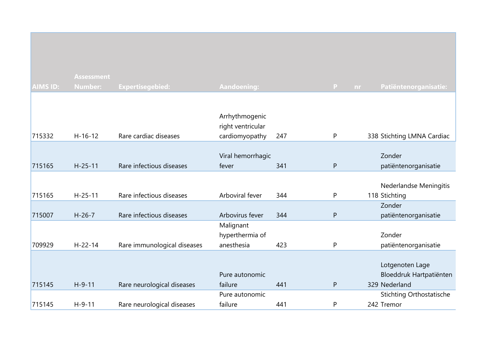|                 | <b>Assessment</b> |                             |                                     |     |              |    |                                 |
|-----------------|-------------------|-----------------------------|-------------------------------------|-----|--------------|----|---------------------------------|
| <b>AIMS ID:</b> | <b>Number:</b>    | Expertisegebied:            | <b>Aandoening:</b>                  |     | P            | nr | Patiëntenorganisatie:           |
|                 |                   |                             |                                     |     |              |    |                                 |
|                 |                   |                             |                                     |     |              |    |                                 |
|                 |                   |                             | Arrhythmogenic<br>right ventricular |     |              |    |                                 |
| 715332          | $H - 16 - 12$     | Rare cardiac diseases       | cardiomyopathy                      | 247 | P            |    | 338 Stichting LMNA Cardiac      |
|                 |                   |                             |                                     |     |              |    |                                 |
|                 |                   |                             | Viral hemorrhagic                   |     |              |    | Zonder                          |
| 715165          | $H - 25 - 11$     | Rare infectious diseases    | fever                               | 341 | ${\sf P}$    |    | patiëntenorganisatie            |
|                 |                   |                             |                                     |     |              |    |                                 |
|                 |                   |                             |                                     |     |              |    | Nederlandse Meningitis          |
| 715165          | $H-25-11$         | Rare infectious diseases    | Arboviral fever                     | 344 | P            |    | 118 Stichting                   |
|                 |                   |                             |                                     |     |              |    | Zonder                          |
| 715007          | $H-26-7$          | Rare infectious diseases    | Arbovirus fever                     | 344 | $\mathsf{P}$ |    | patiëntenorganisatie            |
|                 |                   |                             | Malignant                           |     |              |    |                                 |
|                 |                   |                             | hyperthermia of                     |     |              |    | Zonder                          |
| 709929          | $H - 22 - 14$     | Rare immunological diseases | anesthesia                          | 423 | P            |    | patiëntenorganisatie            |
|                 |                   |                             |                                     |     |              |    |                                 |
|                 |                   |                             |                                     |     |              |    | Lotgenoten Lage                 |
|                 |                   |                             | Pure autonomic                      |     |              |    | Bloeddruk Hartpatiënten         |
| 715145          | $H-9-11$          | Rare neurological diseases  | failure                             | 441 | P            |    | 329 Nederland                   |
|                 |                   |                             | Pure autonomic                      |     |              |    | <b>Stichting Orthostatische</b> |
| 715145          | $H - 9 - 11$      | Rare neurological diseases  | failure                             | 441 | P            |    | 242 Tremor                      |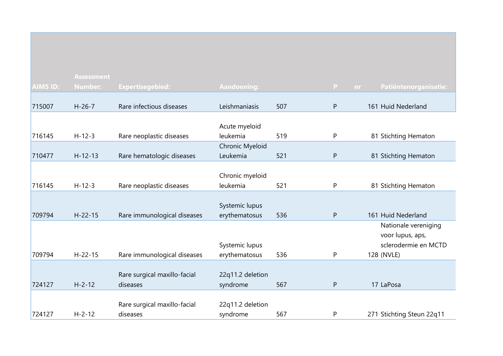|                 | <b>Assessment</b> |                                          |                              |     |              |                           |
|-----------------|-------------------|------------------------------------------|------------------------------|-----|--------------|---------------------------|
| <b>AIMS ID:</b> | <b>Number:</b>    | <b>Expertisegebied:</b>                  | <b>Aandoening:</b>           |     | P<br>nr      | Patiëntenorganisatie:     |
|                 |                   |                                          |                              |     |              |                           |
| 715007          | $H-26-7$          | Rare infectious diseases                 | Leishmaniasis                | 507 | ${\sf P}$    | 161 Huid Nederland        |
|                 |                   |                                          | Acute myeloid                |     |              |                           |
| 716145          | $H - 12 - 3$      | Rare neoplastic diseases                 | leukemia                     | 519 | P            | 81 Stichting Hematon      |
|                 |                   |                                          | Chronic Myeloid              |     |              |                           |
| 710477          | $H - 12 - 13$     | Rare hematologic diseases                | Leukemia                     | 521 | ${\sf P}$    | 81 Stichting Hematon      |
|                 |                   |                                          |                              |     |              |                           |
|                 |                   |                                          | Chronic myeloid              |     |              |                           |
| 716145          | $H-12-3$          | Rare neoplastic diseases                 | leukemia                     | 521 | ${\sf P}$    | 81 Stichting Hematon      |
|                 |                   |                                          | Systemic lupus               |     |              |                           |
| 709794          | $H - 22 - 15$     | Rare immunological diseases              | erythematosus                | 536 | ${\sf P}$    | 161 Huid Nederland        |
|                 |                   |                                          |                              |     |              | Nationale vereniging      |
|                 |                   |                                          |                              |     |              | voor lupus, aps,          |
|                 |                   |                                          | Systemic lupus               |     |              | sclerodermie en MCTD      |
| 709794          | $H - 22 - 15$     | Rare immunological diseases              | erythematosus                | 536 | P            | 128 (NVLE)                |
|                 |                   |                                          |                              |     |              |                           |
|                 |                   | Rare surgical maxillo-facial             | 22q11.2 deletion             |     |              |                           |
| 724127          | $H - 2 - 12$      | diseases                                 | syndrome                     | 567 | $\mathsf{P}$ | 17 LaPosa                 |
|                 |                   |                                          |                              |     |              |                           |
| 724127          | $H - 2 - 12$      | Rare surgical maxillo-facial<br>diseases | 22q11.2 deletion<br>syndrome | 567 | ${\sf P}$    | 271 Stichting Steun 22q11 |
|                 |                   |                                          |                              |     |              |                           |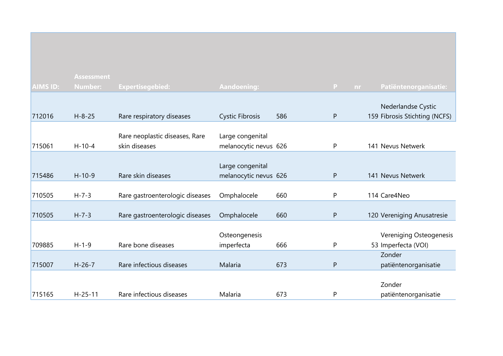|                 | <b>Assessment</b> |                                                 |                                           |     |                    |                                |
|-----------------|-------------------|-------------------------------------------------|-------------------------------------------|-----|--------------------|--------------------------------|
| <b>AIMS ID:</b> | <b>Number:</b>    | <b>Expertisegebied:</b>                         | <b>Aandoening:</b>                        |     | $\mathbf{P}$<br>nr | Patiëntenorganisatie:          |
|                 |                   |                                                 |                                           |     |                    | Nederlandse Cystic             |
| 712016          | $H - 8 - 25$      | Rare respiratory diseases                       | <b>Cystic Fibrosis</b>                    | 586 | P                  | 159 Fibrosis Stichting (NCFS)  |
| 715061          | $H - 10 - 4$      | Rare neoplastic diseases, Rare<br>skin diseases | Large congenital<br>melanocytic nevus 626 |     | P                  | 141 Nevus Netwerk              |
|                 |                   |                                                 |                                           |     |                    |                                |
|                 |                   |                                                 | Large congenital                          |     |                    |                                |
| 715486          | $H-10-9$          | Rare skin diseases                              | melanocytic nevus 626                     |     | P                  | 141 Nevus Netwerk              |
| 710505          | $H - 7 - 3$       | Rare gastroenterologic diseases                 | Omphalocele                               | 660 | P                  | 114 Care4Neo                   |
|                 |                   |                                                 |                                           |     |                    |                                |
| 710505          | $H - 7 - 3$       | Rare gastroenterologic diseases                 | Omphalocele                               | 660 | $\mathsf{P}$       | 120 Vereniging Anusatresie     |
|                 |                   |                                                 |                                           |     |                    |                                |
|                 |                   |                                                 | Osteongenesis                             |     |                    | <b>Vereniging Osteogenesis</b> |
| 709885          | $H - 1 - 9$       | Rare bone diseases                              | imperfecta                                | 666 | P                  | 53 Imperfecta (VOI)            |
|                 |                   |                                                 |                                           |     |                    | Zonder                         |
| 715007          | $H-26-7$          | Rare infectious diseases                        | Malaria                                   | 673 | $\mathsf{P}$       | patiëntenorganisatie           |
|                 |                   |                                                 |                                           |     |                    |                                |
|                 |                   |                                                 |                                           |     |                    | Zonder                         |
| 715165          | $H - 25 - 11$     | Rare infectious diseases                        | Malaria                                   | 673 | P                  | patiëntenorganisatie           |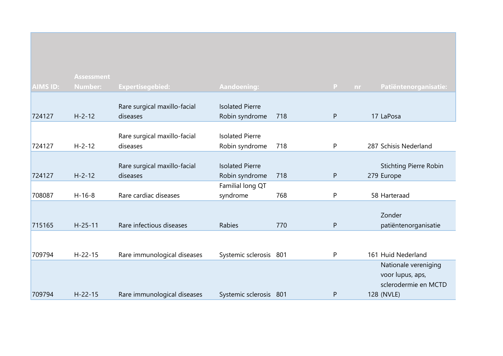| <b>AIMS ID:</b> | <b>Assessment</b> |                              |                        |     |              |                               |
|-----------------|-------------------|------------------------------|------------------------|-----|--------------|-------------------------------|
|                 | <b>Number:</b>    | <b>Expertisegebied:</b>      | Aandoening:            |     | P<br>nr      | Patiëntenorganisatie:         |
|                 |                   | Rare surgical maxillo-facial | <b>Isolated Pierre</b> |     |              |                               |
| 724127          | $H - 2 - 12$      | diseases                     | Robin syndrome         | 718 | $\mathsf{P}$ | 17 LaPosa                     |
|                 |                   |                              |                        |     |              |                               |
|                 |                   | Rare surgical maxillo-facial | <b>Isolated Pierre</b> |     |              |                               |
| 724127          | $H - 2 - 12$      | diseases                     | Robin syndrome         | 718 | $\mathsf{P}$ | 287 Schisis Nederland         |
|                 |                   |                              |                        |     |              |                               |
|                 |                   | Rare surgical maxillo-facial | <b>Isolated Pierre</b> |     |              | <b>Stichting Pierre Robin</b> |
| 724127          | $H - 2 - 12$      | diseases                     | Robin syndrome         | 718 | $\mathsf{P}$ | 279 Europe                    |
|                 |                   |                              | Familial long QT       |     |              |                               |
| 708087          | $H-16-8$          | Rare cardiac diseases        | syndrome               | 768 | $\mathsf{P}$ | 58 Harteraad                  |
|                 |                   |                              |                        |     |              |                               |
|                 |                   |                              |                        |     |              | Zonder                        |
| 715165          | $H - 25 - 11$     | Rare infectious diseases     | <b>Rabies</b>          | 770 | $\mathsf{P}$ | patiëntenorganisatie          |
|                 |                   |                              |                        |     |              |                               |
|                 |                   |                              |                        |     |              |                               |
| 709794          | $H - 22 - 15$     | Rare immunological diseases  | Systemic sclerosis 801 |     | P            | 161 Huid Nederland            |
|                 |                   |                              |                        |     |              | Nationale vereniging          |
|                 |                   |                              |                        |     |              | voor lupus, aps,              |
|                 |                   |                              |                        |     |              | sclerodermie en MCTD          |
| 709794          | $H - 22 - 15$     | Rare immunological diseases  | Systemic sclerosis 801 |     | P            | 128 (NVLE)                    |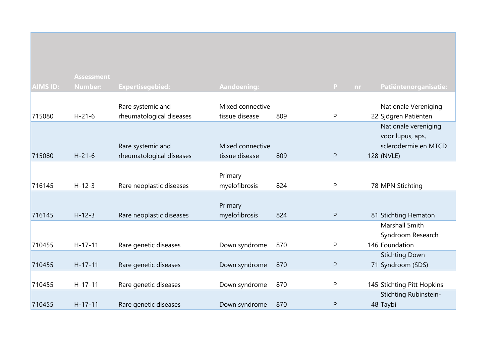|                 | <b>Assessment</b> |                          |                    |     |           |                              |
|-----------------|-------------------|--------------------------|--------------------|-----|-----------|------------------------------|
| <b>AIMS ID:</b> | <b>Number:</b>    | <b>Expertisegebied:</b>  | <b>Aandoening:</b> |     | P         | Patiëntenorganisatie:<br>nr. |
|                 |                   |                          |                    |     |           |                              |
|                 |                   | Rare systemic and        | Mixed connective   |     |           | Nationale Vereniging         |
| 715080          | $H - 21 - 6$      | rheumatological diseases | tissue disease     | 809 | P         | 22 Sjögren Patiënten         |
|                 |                   |                          |                    |     |           | Nationale vereniging         |
|                 |                   |                          |                    |     |           | voor lupus, aps,             |
|                 |                   | Rare systemic and        | Mixed connective   |     |           | sclerodermie en MTCD         |
| 715080          | $H - 21 - 6$      | rheumatological diseases | tissue disease     | 809 | ${\sf P}$ | 128 (NVLE)                   |
|                 |                   |                          |                    |     |           |                              |
|                 |                   |                          | Primary            |     |           |                              |
| 716145          | $H - 12 - 3$      | Rare neoplastic diseases | myelofibrosis      | 824 | P         | 78 MPN Stichting             |
|                 |                   |                          |                    |     |           |                              |
|                 |                   |                          | Primary            |     |           |                              |
| 716145          | $H - 12 - 3$      | Rare neoplastic diseases | myelofibrosis      | 824 | P         | 81 Stichting Hematon         |
|                 |                   |                          |                    |     |           | Marshall Smith               |
|                 |                   |                          |                    |     |           | Syndroom Research            |
| 710455          | $H-17-11$         | Rare genetic diseases    | Down syndrome      | 870 | P         | 146 Foundation               |
|                 |                   |                          |                    |     |           | <b>Stichting Down</b>        |
| 710455          | $H-17-11$         | Rare genetic diseases    | Down syndrome      | 870 | P         | 71 Syndroom (SDS)            |
|                 |                   |                          |                    |     |           |                              |
| 710455          | $H-17-11$         | Rare genetic diseases    | Down syndrome      | 870 | P         | 145 Stichting Pitt Hopkins   |
|                 |                   |                          |                    |     |           | Stichting Rubinstein-        |
| 710455          | $H-17-11$         | Rare genetic diseases    | Down syndrome      | 870 | ${\sf P}$ | 48 Taybi                     |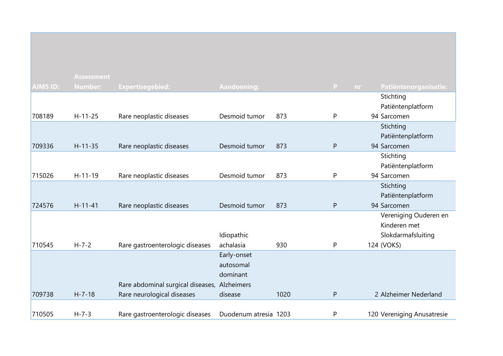|                 | <b>Assessment</b> |                                              |                       |      |              |    |                            |
|-----------------|-------------------|----------------------------------------------|-----------------------|------|--------------|----|----------------------------|
| <b>AIMS ID:</b> | <b>Number:</b>    | <b>Expertisegebied:</b>                      | <b>Aandoening:</b>    |      | $\mathbf{P}$ | nr | Patiëntenorganisatie:      |
|                 |                   |                                              |                       |      |              |    | Stichting                  |
|                 |                   |                                              |                       |      |              |    | Patiëntenplatform          |
| 708189          | $H - 11 - 25$     | Rare neoplastic diseases                     | Desmoid tumor         | 873  | P            |    | 94 Sarcomen                |
|                 |                   |                                              |                       |      |              |    | Stichting                  |
|                 |                   |                                              |                       |      |              |    | Patiëntenplatform          |
| 709336          | $H-11-35$         | Rare neoplastic diseases                     | Desmoid tumor         | 873  | P            |    | 94 Sarcomen                |
|                 |                   |                                              |                       |      |              |    | Stichting                  |
|                 |                   |                                              |                       |      |              |    | Patiëntenplatform          |
| 715026          | $H-11-19$         | Rare neoplastic diseases                     | Desmoid tumor         | 873  | P            |    | 94 Sarcomen                |
|                 |                   |                                              |                       |      |              |    | Stichting                  |
|                 |                   |                                              |                       |      |              |    | Patiëntenplatform          |
| 724576          | $H - 11 - 41$     | Rare neoplastic diseases                     | Desmoid tumor         | 873  | P            |    | 94 Sarcomen                |
|                 |                   |                                              |                       |      |              |    | Vereniging Ouderen en      |
|                 |                   |                                              |                       |      |              |    | Kinderen met               |
|                 |                   |                                              | Idiopathic            |      |              |    | Slokdarmafsluiting         |
| 710545          | $H - 7 - 2$       | Rare gastroenterologic diseases              | achalasia             | 930  | P            |    | 124 (VOKS)                 |
|                 |                   |                                              | Early-onset           |      |              |    |                            |
|                 |                   |                                              | autosomal             |      |              |    |                            |
|                 |                   |                                              | dominant              |      |              |    |                            |
|                 |                   | Rare abdominal surgical diseases, Alzheimers |                       |      |              |    |                            |
| 709738          | $H - 7 - 18$      | Rare neurological diseases                   | disease               | 1020 | P            |    | 2 Alzheimer Nederland      |
|                 |                   |                                              |                       |      |              |    |                            |
| 710505          | $H - 7 - 3$       | Rare gastroenterologic diseases              | Duodenum atresia 1203 |      | P            |    | 120 Vereniging Anusatresie |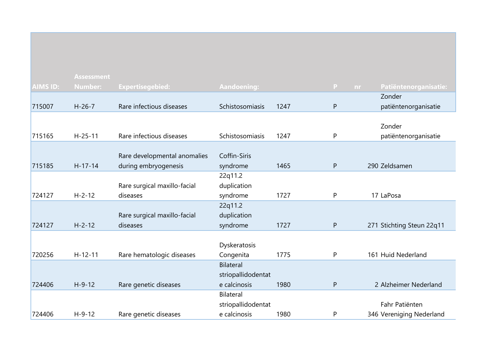| <b>AIMS ID:</b> | <b>Assessment</b><br><b>Number:</b> | Expertisegebied:             | Aandoening:        |      | P            | Patiëntenorganisatie:<br>nr. |
|-----------------|-------------------------------------|------------------------------|--------------------|------|--------------|------------------------------|
|                 |                                     |                              |                    |      |              | Zonder                       |
| 715007          | $H-26-7$                            | Rare infectious diseases     | Schistosomiasis    | 1247 | ${\sf P}$    | patiëntenorganisatie         |
|                 |                                     |                              |                    |      |              |                              |
|                 |                                     |                              |                    |      |              | Zonder                       |
| 715165          | $H - 25 - 11$                       | Rare infectious diseases     | Schistosomiasis    | 1247 | P            | patiëntenorganisatie         |
|                 |                                     |                              |                    |      |              |                              |
|                 |                                     | Rare developmental anomalies | Coffin-Siris       |      |              |                              |
| 715185          | $H - 17 - 14$                       | during embryogenesis         | syndrome           | 1465 | $\mathsf{P}$ | 290 Zeldsamen                |
|                 |                                     |                              | 22q11.2            |      |              |                              |
|                 |                                     | Rare surgical maxillo-facial | duplication        |      |              |                              |
| 724127          | $H - 2 - 12$                        | diseases                     | syndrome           | 1727 | $\mathsf{P}$ | 17 LaPosa                    |
|                 |                                     |                              | 22q11.2            |      |              |                              |
|                 |                                     | Rare surgical maxillo-facial | duplication        |      |              |                              |
| 724127          | $H - 2 - 12$                        | diseases                     | syndrome           | 1727 | ${\sf P}$    | 271 Stichting Steun 22q11    |
|                 |                                     |                              |                    |      |              |                              |
|                 |                                     |                              | Dyskeratosis       |      |              |                              |
| 720256          | $H - 12 - 11$                       | Rare hematologic diseases    | Congenita          | 1775 | P            | 161 Huid Nederland           |
|                 |                                     |                              | <b>Bilateral</b>   |      |              |                              |
|                 |                                     |                              | striopallidodentat |      |              |                              |
| 724406          | $H-9-12$                            | Rare genetic diseases        | e calcinosis       | 1980 | $\mathsf{P}$ | 2 Alzheimer Nederland        |
|                 |                                     |                              | <b>Bilateral</b>   |      |              |                              |
|                 |                                     |                              | striopallidodentat |      |              | Fahr Patiënten               |
| 724406          | $H - 9 - 12$                        | Rare genetic diseases        | e calcinosis       | 1980 | P            | 346 Vereniging Nederland     |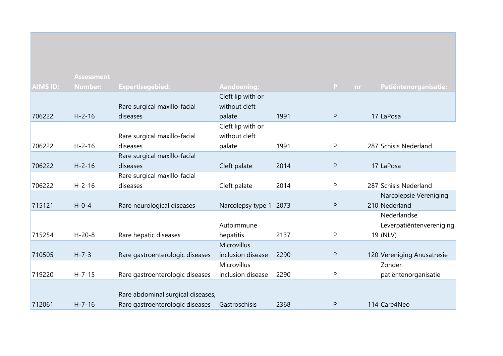|                 | <b>Assessment</b> |                                   |                        |      |              |                            |
|-----------------|-------------------|-----------------------------------|------------------------|------|--------------|----------------------------|
| <b>AIMS ID:</b> | <b>Number:</b>    | <b>Expertisegebied:</b>           | Aandoening:            |      | P<br>nr.     | Patiëntenorganisatie:      |
|                 |                   |                                   | Cleft lip with or      |      |              |                            |
|                 |                   | Rare surgical maxillo-facial      | without cleft          |      |              |                            |
| 706222          | $H - 2 - 16$      | diseases                          | palate                 | 1991 | $\mathsf{P}$ | 17 LaPosa                  |
|                 |                   |                                   | Cleft lip with or      |      |              |                            |
|                 |                   | Rare surgical maxillo-facial      | without cleft          |      |              |                            |
| 706222          | $H - 2 - 16$      | diseases                          | palate                 | 1991 | P            | 287 Schisis Nederland      |
|                 |                   | Rare surgical maxillo-facial      |                        |      |              |                            |
| 706222          | $H - 2 - 16$      | diseases                          | Cleft palate           | 2014 | ${\sf P}$    | 17 LaPosa                  |
|                 |                   | Rare surgical maxillo-facial      |                        |      |              |                            |
| 706222          | $H - 2 - 16$      | diseases                          | Cleft palate           | 2014 | P            | 287 Schisis Nederland      |
|                 |                   |                                   |                        |      |              | Narcolepsie Vereniging     |
| 715121          | $H - 0 - 4$       | Rare neurological diseases        | Narcolepsy type 1 2073 |      | $\mathsf{P}$ | 210 Nederland              |
|                 |                   |                                   |                        |      |              | Nederlandse                |
|                 |                   |                                   | Autoimmune             |      |              | Leverpatiëntenvereniging   |
| 715254          | $H - 20 - 8$      | Rare hepatic diseases             | hepatitis              | 2137 | P            | 19 (NLV)                   |
|                 |                   |                                   | <b>Microvillus</b>     |      |              |                            |
| 710505          | $H - 7 - 3$       | Rare gastroenterologic diseases   | inclusion disease      | 2290 | $\mathsf{P}$ | 120 Vereniging Anusatresie |
|                 |                   |                                   | Microvillus            |      |              | Zonder                     |
| 719220          | $H - 7 - 15$      | Rare gastroenterologic diseases   | inclusion disease      | 2290 | P            | patiëntenorganisatie       |
|                 |                   |                                   |                        |      |              |                            |
|                 |                   | Rare abdominal surgical diseases, |                        |      |              |                            |
| 712061          | $H - 7 - 16$      | Rare gastroenterologic diseases   | Gastroschisis          | 2368 | P            | 114 Care4Neo               |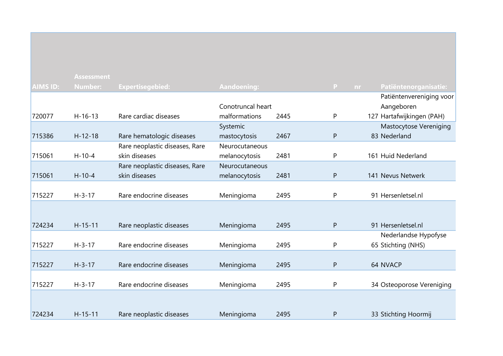|          | <b>Assessment</b> |                                |                    |      |              |                           |
|----------|-------------------|--------------------------------|--------------------|------|--------------|---------------------------|
| AIMS ID: | Number:           | <b>Expertisegebied:</b>        | <b>Aandoening:</b> |      | P<br>nr.     | Patiëntenorganisatie:     |
|          |                   |                                |                    |      |              | Patiëntenvereniging voor  |
|          |                   |                                | Conotruncal heart  |      |              | Aangeboren                |
| 720077   | $H - 16 - 13$     | Rare cardiac diseases          | malformations      | 2445 | P            | 127 Hartafwijkingen (PAH) |
|          |                   |                                | Systemic           |      |              | Mastocytose Vereniging    |
| 715386   | $H-12-18$         | Rare hematologic diseases      | mastocytosis       | 2467 | $\mathsf{P}$ | 83 Nederland              |
|          |                   | Rare neoplastic diseases, Rare | Neurocutaneous     |      |              |                           |
| 715061   | $H-10-4$          | skin diseases                  | melanocytosis      | 2481 | P            | 161 Huid Nederland        |
|          |                   | Rare neoplastic diseases, Rare | Neurocutaneous     |      |              |                           |
| 715061   | $H - 10 - 4$      | skin diseases                  | melanocytosis      | 2481 | ${\sf P}$    | 141 Nevus Netwerk         |
|          |                   |                                |                    |      |              |                           |
| 715227   | $H - 3 - 17$      | Rare endocrine diseases        | Meningioma         | 2495 | $\mathsf{P}$ | 91 Hersenletsel.nl        |
|          |                   |                                |                    |      |              |                           |
|          |                   |                                |                    |      |              |                           |
| 724234   | $H-15-11$         | Rare neoplastic diseases       | Meningioma         | 2495 | $\mathsf{P}$ | 91 Hersenletsel.nl        |
|          |                   |                                |                    |      |              | Nederlandse Hypofyse      |
| 715227   | $H - 3 - 17$      | Rare endocrine diseases        | Meningioma         | 2495 | P            | 65 Stichting (NHS)        |
|          |                   |                                |                    |      |              |                           |
| 715227   | $H - 3 - 17$      | Rare endocrine diseases        | Meningioma         | 2495 | $\mathsf{P}$ | 64 NVACP                  |
|          |                   |                                |                    |      |              |                           |
| 715227   | $H - 3 - 17$      | Rare endocrine diseases        | Meningioma         | 2495 | P            | 34 Osteoporose Vereniging |
|          |                   |                                |                    |      |              |                           |
|          |                   |                                |                    |      |              |                           |
| 724234   | $H - 15 - 11$     | Rare neoplastic diseases       | Meningioma         | 2495 | $\mathsf{P}$ | 33 Stichting Hoormij      |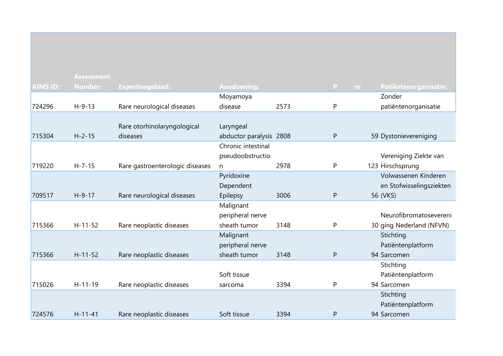|                 | <b>Assessment</b> |                                 |                         |      |                     |                          |
|-----------------|-------------------|---------------------------------|-------------------------|------|---------------------|--------------------------|
| <b>AIMS ID:</b> | <b>Number:</b>    | <b>Expertisegebied:</b>         | <b>Aandoening:</b>      |      | $\mathsf{P}$<br>nr. | Patiëntenorganisatie:    |
|                 |                   |                                 | Moyamoya                |      |                     | Zonder                   |
| 724296          | $H - 9 - 13$      | Rare neurological diseases      | disease                 | 2573 | P                   | patiëntenorganisatie     |
|                 |                   |                                 |                         |      |                     |                          |
|                 |                   | Rare otorhinolaryngological     | Laryngeal               |      |                     |                          |
| 715304          | $H - 2 - 15$      | diseases                        | abductor paralysis 2808 |      | ${\sf P}$           | 59 Dystonievereniging    |
|                 |                   |                                 | Chronic intestinal      |      |                     |                          |
|                 |                   |                                 | pseudoobstructio        |      |                     | Vereniging Ziekte van    |
| 719220          | $H - 7 - 15$      | Rare gastroenterologic diseases | $\mathsf{n}$            | 2978 | P                   | 123 Hirschsprung         |
|                 |                   |                                 | Pyridoxine              |      |                     | Volwassenen Kinderen     |
|                 |                   |                                 | Dependent               |      |                     | en Stofwisselingsziekten |
| 709517          | $H-9-17$          | Rare neurological diseases      | Epilepsy                | 3006 | $\mathsf{P}$        | 56 (VKS)                 |
|                 |                   |                                 | Malignant               |      |                     |                          |
|                 |                   |                                 | peripheral nerve        |      |                     | Neurofibromatosevereni   |
| 715366          | $H - 11 - 52$     | Rare neoplastic diseases        | sheath tumor            | 3148 | P                   | 30 ging Nederland (NFVN) |
|                 |                   |                                 | Malignant               |      |                     | Stichting                |
|                 |                   |                                 | peripheral nerve        |      |                     | Patiëntenplatform        |
| 715366          | $H - 11 - 52$     | Rare neoplastic diseases        | sheath tumor            | 3148 | P                   | 94 Sarcomen              |
|                 |                   |                                 |                         |      |                     | Stichting                |
|                 |                   |                                 | Soft tissue             |      |                     | Patiëntenplatform        |
| 715026          | $H - 11 - 19$     | Rare neoplastic diseases        | sarcoma                 | 3394 | P                   | 94 Sarcomen              |
|                 |                   |                                 |                         |      |                     | Stichting                |
|                 |                   |                                 |                         |      |                     | Patiëntenplatform        |
| 724576          | $H - 11 - 41$     | Rare neoplastic diseases        | Soft tissue             | 3394 | P                   | 94 Sarcomen              |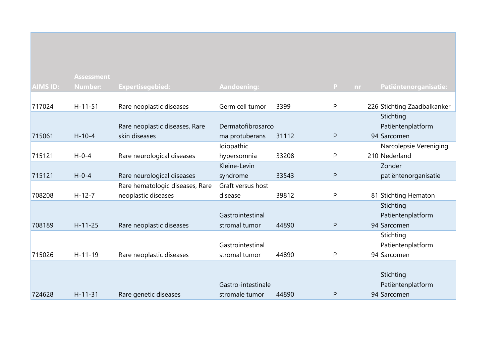|                 | <b>Assessment</b> |                                 |                    |       |              |                             |
|-----------------|-------------------|---------------------------------|--------------------|-------|--------------|-----------------------------|
| <b>AIMS ID:</b> | <b>Number:</b>    | <b>Expertisegebied:</b>         | <b>Aandoening:</b> |       | P.<br>nr     | Patiëntenorganisatie:       |
|                 |                   |                                 |                    |       |              |                             |
| 717024          | $H-11-51$         | Rare neoplastic diseases        | Germ cell tumor    | 3399  | P            | 226 Stichting Zaadbalkanker |
|                 |                   |                                 |                    |       |              | Stichting                   |
|                 |                   | Rare neoplastic diseases, Rare  | Dermatofibrosarco  |       |              | Patiëntenplatform           |
| 715061          | $H - 10 - 4$      | skin diseases                   | ma protuberans     | 31112 | ${\sf P}$    | 94 Sarcomen                 |
|                 |                   |                                 | Idiopathic         |       |              | Narcolepsie Vereniging      |
| 715121          | $H - 0 - 4$       | Rare neurological diseases      | hypersomnia        | 33208 | P            | 210 Nederland               |
|                 |                   |                                 | Kleine-Levin       |       |              | Zonder                      |
| 715121          | $H - 0 - 4$       | Rare neurological diseases      | syndrome           | 33543 | $\mathsf{P}$ | patiëntenorganisatie        |
|                 |                   | Rare hematologic diseases, Rare | Graft versus host  |       |              |                             |
| 708208          | $H - 12 - 7$      | neoplastic diseases             | disease            | 39812 | P            | 81 Stichting Hematon        |
|                 |                   |                                 |                    |       |              | Stichting                   |
|                 |                   |                                 | Gastrointestinal   |       |              | Patiëntenplatform           |
| 708189          | $H - 11 - 25$     | Rare neoplastic diseases        | stromal tumor      | 44890 | P            | 94 Sarcomen                 |
|                 |                   |                                 |                    |       |              | Stichting                   |
|                 |                   |                                 | Gastrointestinal   |       |              | Patiëntenplatform           |
| 715026          | $H-11-19$         | Rare neoplastic diseases        | stromal tumor      | 44890 | P            | 94 Sarcomen                 |
|                 |                   |                                 |                    |       |              |                             |
|                 |                   |                                 |                    |       |              | Stichting                   |
|                 |                   |                                 | Gastro-intestinale |       |              | Patiëntenplatform           |
| 724628          | $H - 11 - 31$     | Rare genetic diseases           | stromale tumor     | 44890 | P            | 94 Sarcomen                 |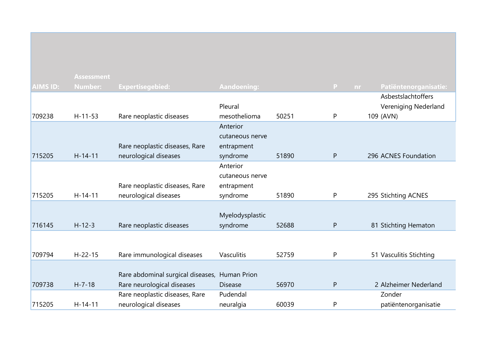|                 | <b>Assessment</b> |                                   |                    |       |              |           |                         |
|-----------------|-------------------|-----------------------------------|--------------------|-------|--------------|-----------|-------------------------|
| <b>AIMS ID:</b> | <b>Number:</b>    | <b>Expertisegebied:</b>           | <b>Aandoening:</b> |       | P            | <b>nr</b> | Patiëntenorganisatie:   |
|                 |                   |                                   |                    |       |              |           | Asbestslachtoffers      |
|                 |                   |                                   | Pleural            |       |              |           | Vereniging Nederland    |
| 709238          | $H - 11 - 53$     | Rare neoplastic diseases          | mesothelioma       | 50251 | P            |           | 109 (AVN)               |
|                 |                   |                                   | Anterior           |       |              |           |                         |
|                 |                   |                                   | cutaneous nerve    |       |              |           |                         |
|                 |                   | Rare neoplastic diseases, Rare    | entrapment         |       |              |           |                         |
| 715205          | $H-14-11$         | neurological diseases             | syndrome           | 51890 | $\mathsf{P}$ |           | 296 ACNES Foundation    |
|                 |                   |                                   | Anterior           |       |              |           |                         |
|                 |                   |                                   | cutaneous nerve    |       |              |           |                         |
|                 |                   | Rare neoplastic diseases, Rare    | entrapment         |       |              |           |                         |
| 715205          | $H-14-11$         | neurological diseases             | syndrome           | 51890 | P            |           | 295 Stichting ACNES     |
|                 |                   |                                   |                    |       |              |           |                         |
|                 |                   |                                   | Myelodysplastic    |       |              |           |                         |
| 716145          | $H - 12 - 3$      | Rare neoplastic diseases          | syndrome           | 52688 | $\mathsf{P}$ |           | 81 Stichting Hematon    |
|                 |                   |                                   |                    |       |              |           |                         |
| 709794          | $H - 22 - 15$     |                                   | Vasculitis         | 52759 | P            |           |                         |
|                 |                   | Rare immunological diseases       |                    |       |              |           | 51 Vasculitis Stichting |
|                 |                   | Rare abdominal surgical diseases, | <b>Human Prion</b> |       |              |           |                         |
| 709738          | $H - 7 - 18$      | Rare neurological diseases        | <b>Disease</b>     | 56970 | ${\sf P}$    |           | 2 Alzheimer Nederland   |
|                 |                   | Rare neoplastic diseases, Rare    | Pudendal           |       |              |           | Zonder                  |
| 715205          | $H - 14 - 11$     | neurological diseases             | neuralgia          | 60039 | P            |           | patiëntenorganisatie    |
|                 |                   |                                   |                    |       |              |           |                         |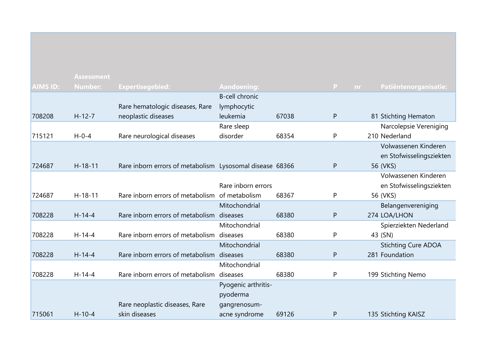|                 | <b>Assessment</b> |                                                          |                     |       |                    |                            |
|-----------------|-------------------|----------------------------------------------------------|---------------------|-------|--------------------|----------------------------|
| <b>AIMS ID:</b> | <b>Number:</b>    | <b>Expertisegebied:</b>                                  | <b>Aandoening:</b>  |       | $\mathsf{P}$<br>nr | Patiëntenorganisatie:      |
|                 |                   |                                                          | B-cell chronic      |       |                    |                            |
|                 |                   | Rare hematologic diseases, Rare                          | lymphocytic         |       |                    |                            |
| 708208          | $H - 12 - 7$      | neoplastic diseases                                      | leukemia            | 67038 | P                  | 81 Stichting Hematon       |
|                 |                   |                                                          | Rare sleep          |       |                    | Narcolepsie Vereniging     |
| 715121          | $H - 0 - 4$       | Rare neurological diseases                               | disorder            | 68354 | P                  | 210 Nederland              |
|                 |                   |                                                          |                     |       |                    | Volwassenen Kinderen       |
|                 |                   |                                                          |                     |       |                    | en Stofwisselingsziekten   |
| 724687          | $H-18-11$         | Rare inborn errors of metabolism Lysosomal disease 68366 |                     |       | $\mathsf{P}$       | 56 (VKS)                   |
|                 |                   |                                                          |                     |       |                    | Volwassenen Kinderen       |
|                 |                   |                                                          | Rare inborn errors  |       |                    | en Stofwisselingsziekten   |
| 724687          | $H - 18 - 11$     | Rare inborn errors of metabolism of metabolism           |                     | 68367 | P                  | 56 (VKS)                   |
|                 |                   |                                                          | Mitochondrial       |       |                    | Belangenvereniging         |
| 708228          | $H - 14 - 4$      | Rare inborn errors of metabolism diseases                |                     | 68380 | ${\sf P}$          | 274 LOA/LHON               |
|                 |                   |                                                          | Mitochondrial       |       |                    | Spierziekten Nederland     |
| 708228          | $H - 14 - 4$      | Rare inborn errors of metabolism diseases                |                     | 68380 | P                  | 43 (SN)                    |
|                 |                   |                                                          | Mitochondrial       |       |                    | <b>Stichting Cure ADOA</b> |
| 708228          | $H - 14 - 4$      | Rare inborn errors of metabolism diseases                |                     | 68380 | ${\sf P}$          | 281 Foundation             |
|                 |                   |                                                          | Mitochondrial       |       |                    |                            |
| 708228          | $H-14-4$          | Rare inborn errors of metabolism diseases                |                     | 68380 | P                  | 199 Stichting Nemo         |
|                 |                   |                                                          | Pyogenic arthritis- |       |                    |                            |
|                 |                   |                                                          | pyoderma            |       |                    |                            |
|                 |                   | Rare neoplastic diseases, Rare                           | gangrenosum-        |       |                    |                            |
| 715061          | $H - 10 - 4$      | skin diseases                                            | acne syndrome       | 69126 | $\mathsf{P}$       | 135 Stichting KAISZ        |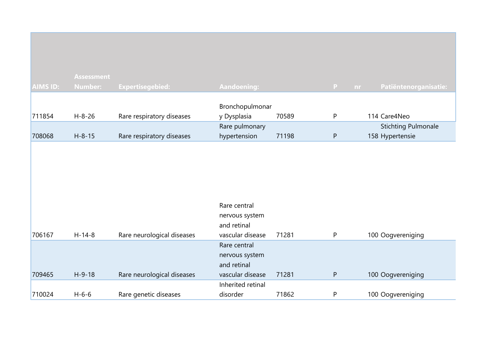|                 | <b>Assessment</b> |                            |                                |       |           |                                               |
|-----------------|-------------------|----------------------------|--------------------------------|-------|-----------|-----------------------------------------------|
| <b>AIMS ID:</b> | <b>Number:</b>    | <b>Expertisegebied:</b>    | <b>Aandoening:</b>             |       | P<br>nr.  | Patiëntenorganisatie:                         |
|                 |                   |                            | Bronchopulmonar                |       |           |                                               |
| 711854          | $H - 8 - 26$      | Rare respiratory diseases  | y Dysplasia                    | 70589 | P         | 114 Care4Neo                                  |
| 708068          | $H - 8 - 15$      | Rare respiratory diseases  | Rare pulmonary<br>hypertension | 71198 | ${\sf P}$ | <b>Stichting Pulmonale</b><br>158 Hypertensie |
|                 |                   |                            |                                |       |           |                                               |
|                 |                   |                            |                                |       |           |                                               |
|                 |                   |                            |                                |       |           |                                               |
|                 |                   |                            | Rare central                   |       |           |                                               |
|                 |                   |                            | nervous system                 |       |           |                                               |
|                 |                   |                            | and retinal                    |       |           |                                               |
| 706167          | $H-14-8$          | Rare neurological diseases | vascular disease               | 71281 | P         | 100 Oogvereniging                             |
|                 |                   |                            | Rare central                   |       |           |                                               |
|                 |                   |                            | nervous system                 |       |           |                                               |
|                 |                   |                            | and retinal                    |       |           |                                               |
| 709465          | $H-9-18$          | Rare neurological diseases | vascular disease               | 71281 | ${\sf P}$ | 100 Oogvereniging                             |
|                 |                   |                            | Inherited retinal              |       |           |                                               |
| 710024          | $H - 6 - 6$       | Rare genetic diseases      | disorder                       | 71862 | P         | 100 Oogvereniging                             |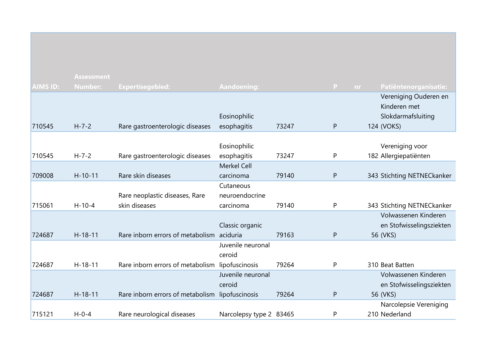|                 | <b>Assessment</b> |                                                 |                         |       |                |                            |
|-----------------|-------------------|-------------------------------------------------|-------------------------|-------|----------------|----------------------------|
| <b>AIMS ID:</b> | <b>Number:</b>    | <b>Expertisegebied:</b>                         | <b>Aandoening:</b>      |       | P<br><b>nr</b> | Patiëntenorganisatie:      |
|                 |                   |                                                 |                         |       |                | Vereniging Ouderen en      |
|                 |                   |                                                 |                         |       |                | Kinderen met               |
|                 |                   |                                                 | Eosinophilic            |       |                | Slokdarmafsluiting         |
| 710545          | $H - 7 - 2$       | Rare gastroenterologic diseases                 | esophagitis             | 73247 | P              | 124 (VOKS)                 |
|                 |                   |                                                 |                         |       |                |                            |
|                 |                   |                                                 | Eosinophilic            |       |                | Vereniging voor            |
| 710545          | $H - 7 - 2$       | Rare gastroenterologic diseases                 | esophagitis             | 73247 | P              | 182 Allergiepatiënten      |
|                 |                   |                                                 | <b>Merkel Cell</b>      |       |                |                            |
| 709008          | $H-10-11$         | Rare skin diseases                              | carcinoma               | 79140 | P              | 343 Stichting NETNECkanker |
|                 |                   |                                                 | Cutaneous               |       |                |                            |
|                 |                   | Rare neoplastic diseases, Rare                  | neuroendocrine          |       |                |                            |
| 715061          | $H - 10 - 4$      | skin diseases                                   | carcinoma               | 79140 | P              | 343 Stichting NETNECkanker |
|                 |                   |                                                 |                         |       |                | Volwassenen Kinderen       |
|                 |                   |                                                 | Classic organic         |       |                | en Stofwisselingsziekten   |
| 724687          | $H - 18 - 11$     | Rare inborn errors of metabolism aciduria       |                         | 79163 | P              | 56 (VKS)                   |
|                 |                   |                                                 | Juvenile neuronal       |       |                |                            |
|                 |                   |                                                 | ceroid                  |       |                |                            |
| 724687          | $H-18-11$         | Rare inborn errors of metabolism lipofuscinosis |                         | 79264 | P              | 310 Beat Batten            |
|                 |                   |                                                 | Juvenile neuronal       |       |                | Volwassenen Kinderen       |
|                 |                   |                                                 | ceroid                  |       |                | en Stofwisselingsziekten   |
| 724687          | $H-18-11$         | Rare inborn errors of metabolism lipofuscinosis |                         | 79264 | P              | 56 (VKS)                   |
|                 |                   |                                                 |                         |       |                | Narcolepsie Vereniging     |
| 715121          | $H - 0 - 4$       | Rare neurological diseases                      | Narcolepsy type 2 83465 |       | P              | 210 Nederland              |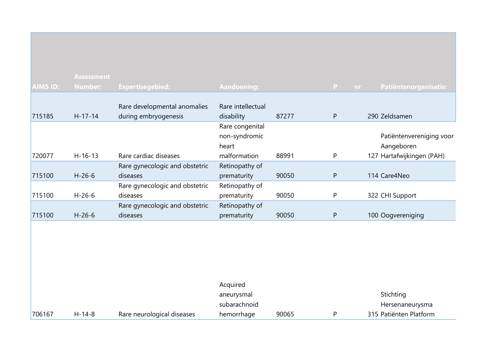|                 | <b>Assessment</b> |                                |                    |       |           |                           |
|-----------------|-------------------|--------------------------------|--------------------|-------|-----------|---------------------------|
| <b>AIMS ID:</b> | Number:           | <b>Expertisegebied:</b>        | <b>Aandoening:</b> |       | P.<br>nr. | Patiëntenorganisatie:     |
|                 |                   |                                |                    |       |           |                           |
|                 |                   | Rare developmental anomalies   | Rare intellectual  |       |           |                           |
| 715185          | $H-17-14$         | during embryogenesis           | disability         | 87277 | P         | 290 Zeldsamen             |
|                 |                   |                                | Rare congenital    |       |           |                           |
|                 |                   |                                | non-syndromic      |       |           | Patiëntenvereniging voor  |
|                 |                   |                                | heart              |       |           | Aangeboren                |
| 720077          | $H-16-13$         | Rare cardiac diseases          | malformation       | 88991 | P         | 127 Hartafwijkingen (PAH) |
|                 |                   | Rare gynecologic and obstetric | Retinopathy of     |       |           |                           |
| 715100          | $H-26-6$          | diseases                       | prematurity        | 90050 | P         | 114 Care4Neo              |
|                 |                   | Rare gynecologic and obstetric | Retinopathy of     |       |           |                           |
| 715100          | $H-26-6$          | diseases                       | prematurity        | 90050 | P         | 322 CHI Support           |
|                 |                   | Rare gynecologic and obstetric | Retinopathy of     |       |           |                           |
| 715100          | $H - 26 - 6$      | diseases                       | prematurity        | 90050 | P         | 100 Oogvereniging         |
|                 |                   |                                |                    |       |           |                           |

|        |          |                            | Acquired     |       |                        |
|--------|----------|----------------------------|--------------|-------|------------------------|
|        |          |                            | aneurysmal   |       | Stichting              |
|        |          |                            | subarachnoid |       | Hersenaneurysma        |
| 706167 | $H-14-8$ | Rare neurological diseases | hemorrhage   | 90065 | 315 Patiënten Platform |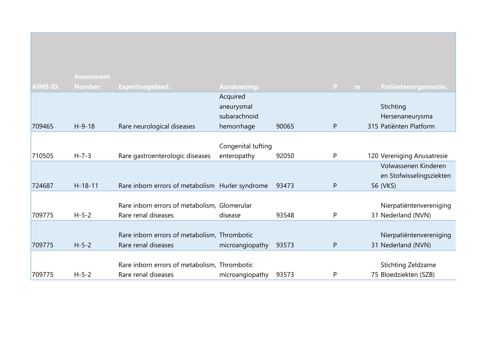|                 | <b>Assessment</b> |                                                  |                            |       |                           |                              |
|-----------------|-------------------|--------------------------------------------------|----------------------------|-------|---------------------------|------------------------------|
| <b>AIMS ID:</b> | <b>Number:</b>    | Expertisegebied:                                 | <b>Aandoening:</b>         |       | $\mathbf{P}$<br><b>nr</b> | Patiëntenorganisatie:        |
|                 |                   |                                                  | Acquired                   |       |                           |                              |
|                 |                   |                                                  | aneurysmal<br>subarachnoid |       |                           | Stichting<br>Hersenaneurysma |
| 709465          | $H-9-18$          | Rare neurological diseases                       | hemorrhage                 | 90065 | P                         | 315 Patiënten Platform       |
|                 |                   |                                                  |                            |       |                           |                              |
|                 |                   |                                                  | Congenital tufting         |       |                           |                              |
| 710505          | $H - 7 - 3$       | Rare gastroenterologic diseases                  | enteropathy                | 92050 | P                         | 120 Vereniging Anusatresie   |
|                 |                   |                                                  |                            |       |                           | Volwassenen Kinderen         |
|                 |                   |                                                  |                            |       |                           | en Stofwisselingsziekten     |
| 724687          | $H - 18 - 11$     | Rare inborn errors of metabolism Hurler syndrome |                            | 93473 | P                         | 56 (VKS)                     |
|                 |                   |                                                  |                            |       |                           |                              |
|                 |                   | Rare inborn errors of metabolism, Glomerular     |                            |       |                           | Nierpatiëntenvereniging      |
| 709775          | $H - 5 - 2$       | Rare renal diseases                              | disease                    | 93548 | P                         | 31 Nederland (NVN)           |
|                 |                   |                                                  |                            |       |                           |                              |
|                 |                   | Rare inborn errors of metabolism, Thrombotic     |                            |       |                           | Nierpatiëntenvereniging      |
| 709775          | $H - 5 - 2$       | Rare renal diseases                              | microangiopathy            | 93573 | P                         | 31 Nederland (NVN)           |
|                 |                   |                                                  |                            |       |                           |                              |
|                 |                   | Rare inborn errors of metabolism, Thrombotic     |                            |       |                           | Stichting Zeldzame           |
| 709775          | $H - 5 - 2$       | Rare renal diseases                              | microangiopathy            | 93573 | P                         | 75 Bloedziekten (SZB)        |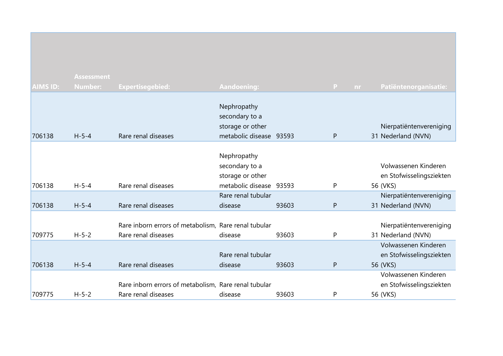|                 | <b>Assessment</b> |                                                      |                         |       |              |           |                          |
|-----------------|-------------------|------------------------------------------------------|-------------------------|-------|--------------|-----------|--------------------------|
| <b>AIMS ID:</b> | <b>Number:</b>    | <b>Expertisegebied:</b>                              | <b>Aandoening:</b>      |       | $\mathbf{P}$ | <b>nr</b> | Patiëntenorganisatie:    |
|                 |                   |                                                      |                         |       |              |           |                          |
|                 |                   |                                                      | Nephropathy             |       |              |           |                          |
|                 |                   |                                                      | secondary to a          |       |              |           |                          |
|                 |                   |                                                      | storage or other        |       |              |           | Nierpatiëntenvereniging  |
| 706138          | $H - 5 - 4$       | Rare renal diseases                                  | metabolic disease 93593 |       | P            |           | 31 Nederland (NVN)       |
|                 |                   |                                                      |                         |       |              |           |                          |
|                 |                   |                                                      | Nephropathy             |       |              |           |                          |
|                 |                   |                                                      | secondary to a          |       |              |           | Volwassenen Kinderen     |
|                 |                   |                                                      | storage or other        |       |              |           | en Stofwisselingsziekten |
| 706138          | $H - 5 - 4$       | Rare renal diseases                                  | metabolic disease 93593 |       | P            |           | 56 (VKS)                 |
|                 |                   |                                                      | Rare renal tubular      |       |              |           | Nierpatiëntenvereniging  |
| 706138          | $H - 5 - 4$       | Rare renal diseases                                  | disease                 | 93603 | P            |           | 31 Nederland (NVN)       |
|                 |                   |                                                      |                         |       |              |           |                          |
|                 |                   | Rare inborn errors of metabolism, Rare renal tubular |                         |       |              |           | Nierpatiëntenvereniging  |
| 709775          | $H - 5 - 2$       | Rare renal diseases                                  | disease                 | 93603 | P            |           | 31 Nederland (NVN)       |
|                 |                   |                                                      |                         |       |              |           | Volwassenen Kinderen     |
|                 |                   |                                                      | Rare renal tubular      |       |              |           | en Stofwisselingsziekten |
| 706138          | $H - 5 - 4$       | Rare renal diseases                                  | disease                 | 93603 | P            |           | 56 (VKS)                 |
|                 |                   |                                                      |                         |       |              |           | Volwassenen Kinderen     |
|                 |                   | Rare inborn errors of metabolism, Rare renal tubular |                         |       |              |           | en Stofwisselingsziekten |
| 709775          | $H - 5 - 2$       | Rare renal diseases                                  | disease                 | 93603 | P            |           | 56 (VKS)                 |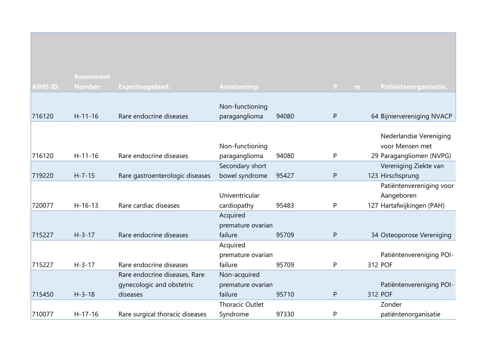|                 | <b>Assessment</b> |                                 |                        |       |                    |                            |
|-----------------|-------------------|---------------------------------|------------------------|-------|--------------------|----------------------------|
| <b>AIMS ID:</b> | <b>Number:</b>    | <b>Expertisegebied:</b>         | <b>Aandoening:</b>     |       | $\mathbf{P}$<br>nr | Patiëntenorganisatie:      |
|                 |                   |                                 |                        |       |                    |                            |
|                 |                   |                                 | Non-functioning        |       |                    |                            |
| 716120          | $H - 11 - 16$     | Rare endocrine diseases         | paraganglioma          | 94080 | P                  | 64 Bijniervereniging NVACP |
|                 |                   |                                 |                        |       |                    |                            |
|                 |                   |                                 |                        |       |                    | Nederlandse Vereniging     |
|                 |                   |                                 | Non-functioning        |       |                    | voor Mensen met            |
| 716120          | $H-11-16$         | Rare endocrine diseases         | paraganglioma          | 94080 | P                  | 29 Paragangliomen (NVPG)   |
|                 |                   |                                 | Secondary short        |       |                    | Vereniging Ziekte van      |
| 719220          | $H - 7 - 15$      | Rare gastroenterologic diseases | bowel syndrome         | 95427 | P                  | 123 Hirschsprung           |
|                 |                   |                                 |                        |       |                    | Patiëntenvereniging voor   |
|                 |                   |                                 | Univentricular         |       |                    | Aangeboren                 |
| 720077          | $H - 16 - 13$     | Rare cardiac diseases           | cardiopathy            | 95483 | P                  | 127 Hartafwijkingen (PAH)  |
|                 |                   |                                 | Acquired               |       |                    |                            |
|                 |                   |                                 | premature ovarian      |       |                    |                            |
| 715227          | $H - 3 - 17$      | Rare endocrine diseases         | failure                | 95709 | P                  | 34 Osteoporose Vereniging  |
|                 |                   |                                 | Acquired               |       |                    |                            |
|                 |                   |                                 | premature ovarian      |       |                    | Patiëntenvereniging POI-   |
| 715227          | $H - 3 - 17$      | Rare endocrine diseases         | failure                | 95709 | P                  | 312 POF                    |
|                 |                   | Rare endocrine diseases, Rare   | Non-acquired           |       |                    |                            |
|                 |                   | gynecologic and obstetric       | premature ovarian      |       |                    | Patiëntenvereniging POI-   |
| 715450          | $H - 3 - 18$      | diseases                        | failure                | 95710 | P                  | 312 POF                    |
|                 |                   |                                 | <b>Thoracic Outlet</b> |       |                    | Zonder                     |
| 710077          | $H-17-16$         | Rare surgical thoracic diseases | Syndrome               | 97330 | P                  | patiëntenorganisatie       |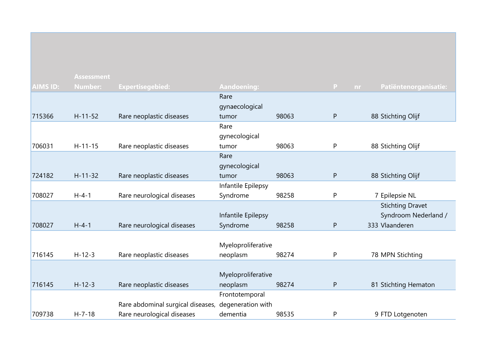|                 | <b>Assessment</b> |                                   |                    |       |           |                         |
|-----------------|-------------------|-----------------------------------|--------------------|-------|-----------|-------------------------|
| <b>AIMS ID:</b> | Number:           | <b>Expertisegebied:</b>           | <b>Aandoening:</b> |       | P<br>nr.  | Patiëntenorganisatie:   |
|                 |                   |                                   | Rare               |       |           |                         |
|                 |                   |                                   | gynaecological     |       |           |                         |
| 715366          | $H-11-52$         | Rare neoplastic diseases          | tumor              | 98063 | ${\sf P}$ | 88 Stichting Olijf      |
|                 |                   |                                   | Rare               |       |           |                         |
|                 |                   |                                   | gynecological      |       |           |                         |
| 706031          | $H - 11 - 15$     | Rare neoplastic diseases          | tumor              | 98063 | P         | 88 Stichting Olijf      |
|                 |                   |                                   | Rare               |       |           |                         |
|                 |                   |                                   | gynecological      |       |           |                         |
| 724182          | $H-11-32$         | Rare neoplastic diseases          | tumor              | 98063 | P         | 88 Stichting Olijf      |
|                 |                   |                                   | Infantile Epilepsy |       |           |                         |
| 708027          | $H - 4 - 1$       | Rare neurological diseases        | Syndrome           | 98258 | P         | 7 Epilepsie NL          |
|                 |                   |                                   |                    |       |           | <b>Stichting Dravet</b> |
|                 |                   |                                   | Infantile Epilepsy |       |           | Syndroom Nederland /    |
| 708027          | $H - 4 - 1$       | Rare neurological diseases        | Syndrome           | 98258 | ${\sf P}$ | 333 Vlaanderen          |
|                 |                   |                                   |                    |       |           |                         |
|                 |                   |                                   | Myeloproliferative |       |           |                         |
| 716145          | $H-12-3$          | Rare neoplastic diseases          | neoplasm           | 98274 | P         | 78 MPN Stichting        |
|                 |                   |                                   |                    |       |           |                         |
|                 |                   |                                   | Myeloproliferative |       |           |                         |
| 716145          | $H - 12 - 3$      | Rare neoplastic diseases          | neoplasm           | 98274 | ${\sf P}$ | 81 Stichting Hematon    |
|                 |                   |                                   | Frontotemporal     |       |           |                         |
|                 |                   | Rare abdominal surgical diseases, | degeneration with  |       |           |                         |
| 709738          | $H - 7 - 18$      | Rare neurological diseases        | dementia           | 98535 | P         | 9 FTD Lotgenoten        |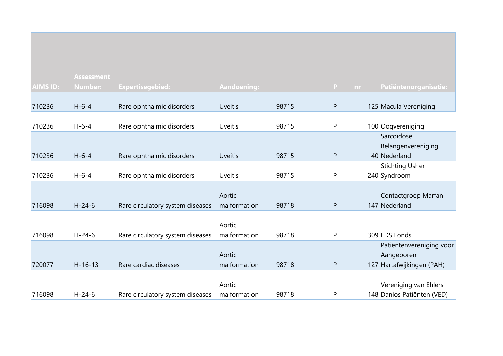|                 | <b>Assessment</b> |                                  |                    |       |           |                                    |
|-----------------|-------------------|----------------------------------|--------------------|-------|-----------|------------------------------------|
| <b>AIMS ID:</b> | <b>Number:</b>    | <b>Expertisegebied:</b>          | <b>Aandoening:</b> |       | P         | Patiëntenorganisatie:<br><b>nr</b> |
|                 |                   |                                  |                    |       |           |                                    |
| 710236          | $H - 6 - 4$       | Rare ophthalmic disorders        | <b>Uveitis</b>     | 98715 | P         | 125 Macula Vereniging              |
|                 |                   |                                  |                    |       |           |                                    |
| 710236          | $H - 6 - 4$       | Rare ophthalmic disorders        | <b>Uveitis</b>     | 98715 | P         | 100 Oogvereniging                  |
|                 |                   |                                  |                    |       |           | Sarcoïdose                         |
|                 |                   |                                  |                    |       |           | Belangenvereniging                 |
| 710236          | $H - 6 - 4$       | Rare ophthalmic disorders        | <b>Uveitis</b>     | 98715 | P         | 40 Nederland                       |
|                 |                   |                                  |                    |       |           | <b>Stichting Usher</b>             |
| 710236          | $H - 6 - 4$       | Rare ophthalmic disorders        | <b>Uveitis</b>     | 98715 | P         | 240 Syndroom                       |
|                 |                   |                                  |                    |       |           |                                    |
|                 |                   |                                  | Aortic             |       |           | Contactgroep Marfan                |
| 716098          | $H - 24 - 6$      | Rare circulatory system diseases | malformation       | 98718 | ${\sf P}$ | 147 Nederland                      |
|                 |                   |                                  |                    |       |           |                                    |
|                 |                   |                                  | Aortic             |       |           |                                    |
| 716098          | $H - 24 - 6$      | Rare circulatory system diseases | malformation       | 98718 | P         | 309 EDS Fonds                      |
|                 |                   |                                  |                    |       |           | Patiëntenvereniging voor           |
|                 |                   |                                  | Aortic             |       |           | Aangeboren                         |
| 720077          | $H - 16 - 13$     | Rare cardiac diseases            | malformation       | 98718 | P         | 127 Hartafwijkingen (PAH)          |
|                 |                   |                                  |                    |       |           |                                    |
|                 |                   |                                  | Aortic             |       |           | Vereniging van Ehlers              |
| 716098          | $H - 24 - 6$      | Rare circulatory system diseases | malformation       | 98718 | Ρ         | 148 Danlos Patiënten (VED)         |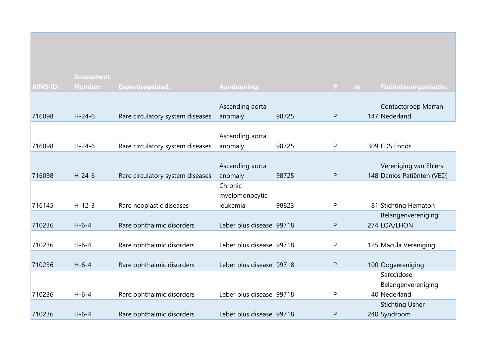| <b>AIMS ID:</b> | <b>Assessment</b><br><b>Number:</b> | Expertisegebied:                 | Aandoening:                           |       | P<br><b>nr</b> | Patiëntenorganisatie:                               |
|-----------------|-------------------------------------|----------------------------------|---------------------------------------|-------|----------------|-----------------------------------------------------|
| 716098          | $H - 24 - 6$                        | Rare circulatory system diseases | Ascending aorta<br>anomaly            | 98725 | P              | Contactgroep Marfan<br>147 Nederland                |
| 716098          | $H - 24 - 6$                        | Rare circulatory system diseases | Ascending aorta<br>anomaly            | 98725 | P              | 309 EDS Fonds                                       |
| 716098          | $H - 24 - 6$                        | Rare circulatory system diseases | Ascending aorta<br>anomaly            | 98725 | P              | Vereniging van Ehlers<br>148 Danlos Patiënten (VED) |
| 716145          | $H-12-3$                            | Rare neoplastic diseases         | Chronic<br>myelomonocytic<br>leukemia | 98823 | P              | 81 Stichting Hematon                                |
| 710236          | $H - 6 - 4$                         | Rare ophthalmic disorders        | Leber plus disease 99718              |       | P              | Belangenvereniging<br>274 LOA/LHON                  |
| 710236          | $H - 6 - 4$                         | Rare ophthalmic disorders        | Leber plus disease 99718              |       | P              | 125 Macula Vereniging                               |
| 710236          | $H - 6 - 4$                         | Rare ophthalmic disorders        | Leber plus disease 99718              |       | P              | 100 Oogvereniging                                   |
| 710236          | $H - 6 - 4$                         | Rare ophthalmic disorders        | Leber plus disease 99718              |       | P              | Sarcoïdose<br>Belangenvereniging<br>40 Nederland    |
| 710236          | $H - 6 - 4$                         | Rare ophthalmic disorders        | Leber plus disease 99718              |       | P              | <b>Stichting Usher</b><br>240 Syndroom              |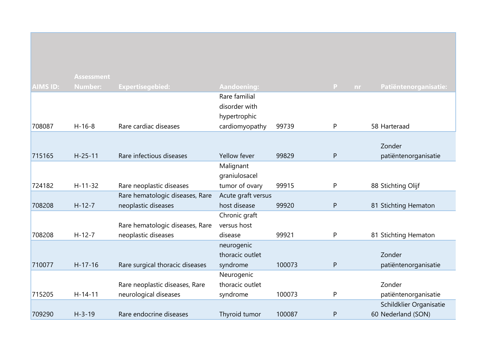|                 | <b>Assessment</b> |                                 |                    |        |                |                         |
|-----------------|-------------------|---------------------------------|--------------------|--------|----------------|-------------------------|
| <b>AIMS ID:</b> | <b>Number:</b>    | <b>Expertisegebied:</b>         | <b>Aandoening:</b> |        | P<br><b>nr</b> | Patiëntenorganisatie:   |
|                 |                   |                                 | Rare familial      |        |                |                         |
|                 |                   |                                 | disorder with      |        |                |                         |
|                 |                   |                                 | hypertrophic       |        |                |                         |
| 708087          | $H-16-8$          | Rare cardiac diseases           | cardiomyopathy     | 99739  | P              | 58 Harteraad            |
|                 |                   |                                 |                    |        |                |                         |
|                 |                   |                                 |                    |        |                | Zonder                  |
| 715165          | $H - 25 - 11$     | Rare infectious diseases        | Yellow fever       | 99829  | $\mathsf{P}$   | patiëntenorganisatie    |
|                 |                   |                                 | Malignant          |        |                |                         |
|                 |                   |                                 | graniulosacel      |        |                |                         |
| 724182          | $H - 11 - 32$     | Rare neoplastic diseases        | tumor of ovary     | 99915  | P              | 88 Stichting Olijf      |
|                 |                   | Rare hematologic diseases, Rare | Acute graft versus |        |                |                         |
| 708208          | $H-12-7$          | neoplastic diseases             | host disease       | 99920  | $\mathsf{P}$   | 81 Stichting Hematon    |
|                 |                   |                                 | Chronic graft      |        |                |                         |
|                 |                   | Rare hematologic diseases, Rare | versus host        |        |                |                         |
| 708208          | $H-12-7$          | neoplastic diseases             | disease            | 99921  | P              | 81 Stichting Hematon    |
|                 |                   |                                 | neurogenic         |        |                |                         |
|                 |                   |                                 | thoracic outlet    |        |                | Zonder                  |
| 710077          | $H-17-16$         | Rare surgical thoracic diseases | syndrome           | 100073 | $\mathsf{P}$   | patiëntenorganisatie    |
|                 |                   |                                 | Neurogenic         |        |                |                         |
|                 |                   | Rare neoplastic diseases, Rare  | thoracic outlet    |        |                | Zonder                  |
| 715205          | $H-14-11$         | neurological diseases           | syndrome           | 100073 | P              | patiëntenorganisatie    |
|                 |                   |                                 |                    |        |                | Schildklier Organisatie |
| 709290          | $H - 3 - 19$      | Rare endocrine diseases         | Thyroid tumor      | 100087 | $\mathsf{P}$   | 60 Nederland (SON)      |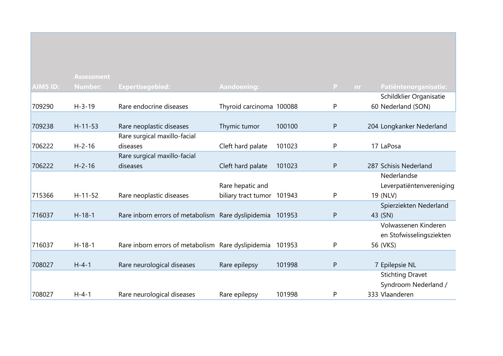|                 | <b>Assessment</b> |                                                           |                            |        |              |                              |
|-----------------|-------------------|-----------------------------------------------------------|----------------------------|--------|--------------|------------------------------|
| <b>AIMS ID:</b> | <b>Number:</b>    | <b>Expertisegebied:</b>                                   | Aandoening:                |        | P            | Patiëntenorganisatie:<br>nr. |
|                 |                   |                                                           |                            |        |              | Schildklier Organisatie      |
| 709290          | $H - 3 - 19$      | Rare endocrine diseases                                   | Thyroid carcinoma 100088   |        | P            | 60 Nederland (SON)           |
|                 |                   |                                                           |                            |        |              |                              |
| 709238          | $H - 11 - 53$     | Rare neoplastic diseases                                  | Thymic tumor               | 100100 | P            | 204 Longkanker Nederland     |
|                 |                   | Rare surgical maxillo-facial                              |                            |        |              |                              |
| 706222          | $H - 2 - 16$      | diseases                                                  | Cleft hard palate          | 101023 | P            | 17 LaPosa                    |
|                 |                   | Rare surgical maxillo-facial                              |                            |        |              |                              |
| 706222          | $H - 2 - 16$      | diseases                                                  | Cleft hard palate          | 101023 | P            | 287 Schisis Nederland        |
|                 |                   |                                                           |                            |        |              | Nederlandse                  |
|                 |                   |                                                           | Rare hepatic and           |        |              | Leverpatiëntenvereniging     |
| 715366          | $H - 11 - 52$     | Rare neoplastic diseases                                  | biliary tract tumor 101943 |        | P            | 19 (NLV)                     |
|                 |                   |                                                           |                            |        |              | Spierziekten Nederland       |
| 716037          | $H-18-1$          | Rare inborn errors of metabolism Rare dyslipidemia 101953 |                            |        | $\mathsf{P}$ | 43 (SN)                      |
|                 |                   |                                                           |                            |        |              | Volwassenen Kinderen         |
|                 |                   |                                                           |                            |        |              | en Stofwisselingsziekten     |
| 716037          | $H-18-1$          | Rare inborn errors of metabolism Rare dyslipidemia        |                            | 101953 | P            | 56 (VKS)                     |
|                 |                   |                                                           |                            |        |              |                              |
| 708027          | $H - 4 - 1$       | Rare neurological diseases                                | Rare epilepsy              | 101998 | P            | 7 Epilepsie NL               |
|                 |                   |                                                           |                            |        |              | <b>Stichting Dravet</b>      |
|                 |                   |                                                           |                            |        |              | Syndroom Nederland /         |
| 708027          | $H - 4 - 1$       | Rare neurological diseases                                | Rare epilepsy              | 101998 | P            | 333 Vlaanderen               |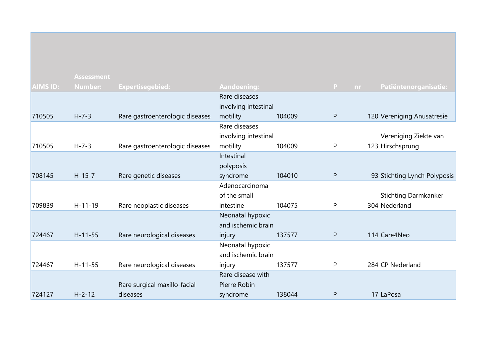|                 | <b>Assessment</b> |                                 |                      |        |                |                              |
|-----------------|-------------------|---------------------------------|----------------------|--------|----------------|------------------------------|
| <b>AIMS ID:</b> | <b>Number:</b>    | <b>Expertisegebied:</b>         | <b>Aandoening:</b>   |        | P<br><b>nr</b> | Patiëntenorganisatie:        |
|                 |                   |                                 | Rare diseases        |        |                |                              |
|                 |                   |                                 | involving intestinal |        |                |                              |
| 710505          | $H - 7 - 3$       | Rare gastroenterologic diseases | motility             | 104009 | P              | 120 Vereniging Anusatresie   |
|                 |                   |                                 | Rare diseases        |        |                |                              |
|                 |                   |                                 | involving intestinal |        |                | Vereniging Ziekte van        |
| 710505          | $H - 7 - 3$       | Rare gastroenterologic diseases | motility             | 104009 | P              | 123 Hirschsprung             |
|                 |                   |                                 | Intestinal           |        |                |                              |
|                 |                   |                                 | polyposis            |        |                |                              |
| 708145          | $H - 15 - 7$      | Rare genetic diseases           | syndrome             | 104010 | P              | 93 Stichting Lynch Polyposis |
|                 |                   |                                 | Adenocarcinoma       |        |                |                              |
|                 |                   |                                 | of the small         |        |                | <b>Stichting Darmkanker</b>  |
| 709839          | $H-11-19$         | Rare neoplastic diseases        | intestine            | 104075 | P              | 304 Nederland                |
|                 |                   |                                 | Neonatal hypoxic     |        |                |                              |
|                 |                   |                                 | and ischemic brain   |        |                |                              |
| 724467          | $H - 11 - 55$     | Rare neurological diseases      | injury               | 137577 | P              | 114 Care4Neo                 |
|                 |                   |                                 | Neonatal hypoxic     |        |                |                              |
|                 |                   |                                 | and ischemic brain   |        |                |                              |
| 724467          | $H-11-55$         | Rare neurological diseases      | injury               | 137577 | P              | 284 CP Nederland             |
|                 |                   |                                 | Rare disease with    |        |                |                              |
|                 |                   | Rare surgical maxillo-facial    | Pierre Robin         |        |                |                              |
| 724127          | $H - 2 - 12$      | diseases                        | syndrome             | 138044 | P              | 17 LaPosa                    |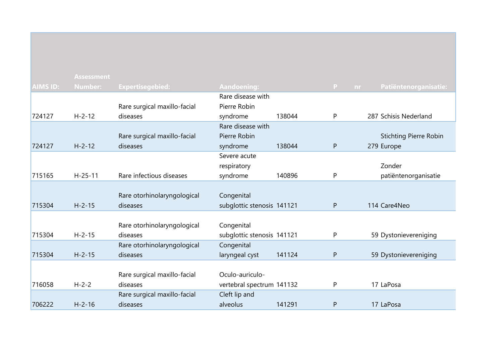|                 | <b>Assessment</b> |                              |                            |        |                           |                               |
|-----------------|-------------------|------------------------------|----------------------------|--------|---------------------------|-------------------------------|
| <b>AIMS ID:</b> | <b>Number:</b>    | <b>Expertisegebied:</b>      | <b>Aandoening:</b>         |        | $\mathbf{P}$<br><b>nr</b> | Patiëntenorganisatie:         |
|                 |                   |                              | Rare disease with          |        |                           |                               |
|                 |                   | Rare surgical maxillo-facial | Pierre Robin               |        |                           |                               |
| 724127          | $H - 2 - 12$      | diseases                     | syndrome                   | 138044 | P                         | 287 Schisis Nederland         |
|                 |                   |                              | Rare disease with          |        |                           |                               |
|                 |                   | Rare surgical maxillo-facial | Pierre Robin               |        |                           | <b>Stichting Pierre Robin</b> |
| 724127          | $H - 2 - 12$      | diseases                     | syndrome                   | 138044 | P                         | 279 Europe                    |
|                 |                   |                              | Severe acute               |        |                           |                               |
|                 |                   |                              | respiratory                |        |                           | Zonder                        |
| 715165          | $H - 25 - 11$     | Rare infectious diseases     | syndrome                   | 140896 | P                         | patiëntenorganisatie          |
|                 |                   |                              |                            |        |                           |                               |
|                 |                   | Rare otorhinolaryngological  | Congenital                 |        |                           |                               |
| 715304          | $H - 2 - 15$      | diseases                     | subglottic stenosis 141121 |        | $\mathsf{P}$              | 114 Care4Neo                  |
|                 |                   |                              |                            |        |                           |                               |
|                 |                   | Rare otorhinolaryngological  | Congenital                 |        |                           |                               |
| 715304          | $H - 2 - 15$      | diseases                     | subglottic stenosis 141121 |        | P                         | 59 Dystonievereniging         |
|                 |                   | Rare otorhinolaryngological  | Congenital                 |        |                           |                               |
| 715304          | $H - 2 - 15$      | diseases                     | laryngeal cyst             | 141124 | P                         | 59 Dystonievereniging         |
|                 |                   |                              |                            |        |                           |                               |
|                 |                   | Rare surgical maxillo-facial | Oculo-auriculo-            |        |                           |                               |
| 716058          | $H - 2 - 2$       | diseases                     | vertebral spectrum 141132  |        | P                         | 17 LaPosa                     |
|                 |                   | Rare surgical maxillo-facial | Cleft lip and              |        |                           |                               |
| 706222          | $H - 2 - 16$      | diseases                     | alveolus                   | 141291 | P                         | 17 LaPosa                     |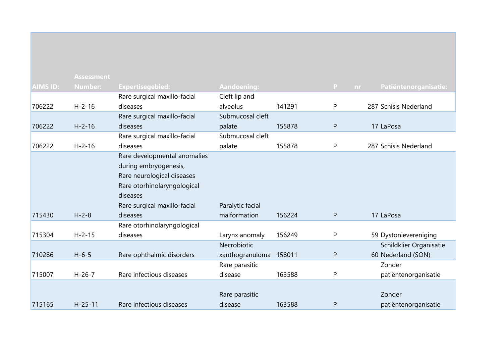|                 | <b>Assessment</b> |                              |                    |        |                    |                         |
|-----------------|-------------------|------------------------------|--------------------|--------|--------------------|-------------------------|
| <b>AIMS ID:</b> | <b>Number:</b>    | <b>Expertisegebied:</b>      | <b>Aandoening:</b> |        | $\mathbf{P}$<br>nr | Patiëntenorganisatie:   |
|                 |                   | Rare surgical maxillo-facial | Cleft lip and      |        |                    |                         |
| 706222          | $H - 2 - 16$      | diseases                     | alveolus           | 141291 | P                  | 287 Schisis Nederland   |
|                 |                   | Rare surgical maxillo-facial | Submucosal cleft   |        |                    |                         |
| 706222          | $H - 2 - 16$      | diseases                     | palate             | 155878 | P                  | 17 LaPosa               |
|                 |                   | Rare surgical maxillo-facial | Submucosal cleft   |        |                    |                         |
| 706222          | $H - 2 - 16$      | diseases                     | palate             | 155878 | P                  | 287 Schisis Nederland   |
|                 |                   | Rare developmental anomalies |                    |        |                    |                         |
|                 |                   | during embryogenesis,        |                    |        |                    |                         |
|                 |                   | Rare neurological diseases   |                    |        |                    |                         |
|                 |                   | Rare otorhinolaryngological  |                    |        |                    |                         |
|                 |                   | diseases                     |                    |        |                    |                         |
|                 |                   | Rare surgical maxillo-facial | Paralytic facial   |        |                    |                         |
| 715430          | $H - 2 - 8$       | diseases                     | malformation       | 156224 | P                  | 17 LaPosa               |
|                 |                   | Rare otorhinolaryngological  |                    |        |                    |                         |
| 715304          | $H - 2 - 15$      | diseases                     | Larynx anomaly     | 156249 | P                  | 59 Dystonievereniging   |
|                 |                   |                              | Necrobiotic        |        |                    | Schildklier Organisatie |
| 710286          | $H - 6 - 5$       | Rare ophthalmic disorders    | xanthogranuloma    | 158011 | P                  | 60 Nederland (SON)      |
|                 |                   |                              | Rare parasitic     |        |                    | Zonder                  |
| 715007          | $H - 26 - 7$      | Rare infectious diseases     | disease            | 163588 | P                  | patiëntenorganisatie    |
|                 |                   |                              |                    |        |                    |                         |
|                 |                   |                              | Rare parasitic     |        |                    | Zonder                  |
| 715165          | $H - 25 - 11$     | Rare infectious diseases     | disease            | 163588 | P                  | patiëntenorganisatie    |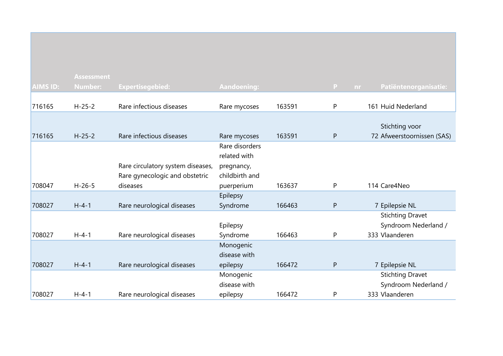|                 | <b>Assessment</b> |                                   |                    |        |   |                                    |
|-----------------|-------------------|-----------------------------------|--------------------|--------|---|------------------------------------|
| <b>AIMS ID:</b> | <b>Number:</b>    | <b>Expertisegebied:</b>           | <b>Aandoening:</b> |        | P | Patiëntenorganisatie:<br><b>nr</b> |
|                 |                   |                                   |                    |        |   |                                    |
| 716165          | $H - 25 - 2$      | Rare infectious diseases          | Rare mycoses       | 163591 | P | 161 Huid Nederland                 |
|                 |                   |                                   |                    |        |   |                                    |
|                 |                   |                                   |                    |        |   | Stichting voor                     |
| 716165          | $H - 25 - 2$      | Rare infectious diseases          | Rare mycoses       | 163591 | P | 72 Afweerstoornissen (SAS)         |
|                 |                   |                                   | Rare disorders     |        |   |                                    |
|                 |                   |                                   | related with       |        |   |                                    |
|                 |                   | Rare circulatory system diseases, | pregnancy,         |        |   |                                    |
|                 |                   | Rare gynecologic and obstetric    | childbirth and     |        |   |                                    |
| 708047          | $H-26-5$          | diseases                          | puerperium         | 163637 | P | 114 Care4Neo                       |
|                 |                   |                                   | Epilepsy           |        |   |                                    |
| 708027          | $H - 4 - 1$       | Rare neurological diseases        | Syndrome           | 166463 | P | 7 Epilepsie NL                     |
|                 |                   |                                   |                    |        |   | <b>Stichting Dravet</b>            |
|                 |                   |                                   | Epilepsy           |        |   | Syndroom Nederland /               |
| 708027          | $H - 4 - 1$       | Rare neurological diseases        | Syndrome           | 166463 | P | 333 Vlaanderen                     |
|                 |                   |                                   | Monogenic          |        |   |                                    |
|                 |                   |                                   | disease with       |        |   |                                    |
| 708027          | $H - 4 - 1$       | Rare neurological diseases        | epilepsy           | 166472 | P | 7 Epilepsie NL                     |
|                 |                   |                                   | Monogenic          |        |   | <b>Stichting Dravet</b>            |
|                 |                   |                                   | disease with       |        |   | Syndroom Nederland /               |
| 708027          | $H - 4 - 1$       | Rare neurological diseases        | epilepsy           | 166472 | P | 333 Vlaanderen                     |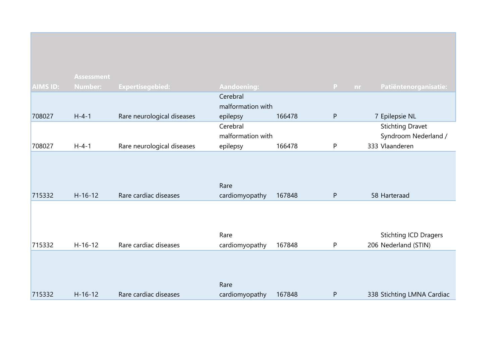|                 | <b>Assessment</b> |                            |                        |        |           |                                                      |
|-----------------|-------------------|----------------------------|------------------------|--------|-----------|------------------------------------------------------|
| <b>AIMS ID:</b> | <b>Number:</b>    | <b>Expertisegebied:</b>    | <b>Aandoening:</b>     |        | P<br>nr   | Patiëntenorganisatie:                                |
|                 |                   |                            | Cerebral               |        |           |                                                      |
|                 |                   |                            | malformation with      |        |           |                                                      |
| 708027          | $H - 4 - 1$       | Rare neurological diseases | epilepsy               | 166478 | ${\sf P}$ | 7 Epilepsie NL                                       |
|                 |                   |                            | Cerebral               |        |           | <b>Stichting Dravet</b>                              |
|                 |                   |                            | malformation with      |        |           | Syndroom Nederland /                                 |
| 708027          | $H - 4 - 1$       | Rare neurological diseases | epilepsy               | 166478 | P         | 333 Vlaanderen                                       |
| 715332          | $H - 16 - 12$     | Rare cardiac diseases      | Rare<br>cardiomyopathy | 167848 | P         | 58 Harteraad                                         |
| 715332          | $H-16-12$         | Rare cardiac diseases      | Rare<br>cardiomyopathy | 167848 | P         | <b>Stichting ICD Dragers</b><br>206 Nederland (STIN) |
| 715332          | $H-16-12$         | Rare cardiac diseases      | Rare<br>cardiomyopathy | 167848 | P         | 338 Stichting LMNA Cardiac                           |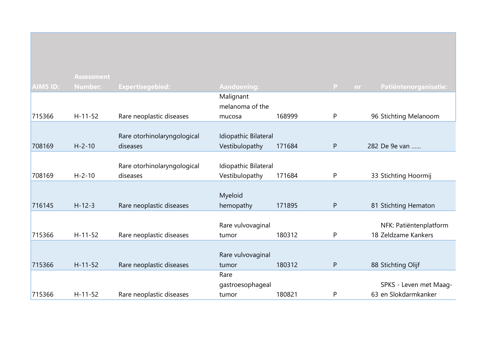|          | <b>Assessment</b> |                             |                      |        |              |                                    |
|----------|-------------------|-----------------------------|----------------------|--------|--------------|------------------------------------|
| AIMS ID: | <b>Number:</b>    | <b>Expertisegebied:</b>     | <b>Aandoening:</b>   |        | $\mathbf{P}$ | Patiëntenorganisatie:<br><b>nr</b> |
|          |                   |                             | Malignant            |        |              |                                    |
|          |                   |                             | melanoma of the      |        |              |                                    |
| 715366   | $H-11-52$         | Rare neoplastic diseases    | mucosa               | 168999 | P            | 96 Stichting Melanoom              |
|          |                   |                             |                      |        |              |                                    |
|          |                   | Rare otorhinolaryngological | Idiopathic Bilateral |        |              |                                    |
| 708169   | $H - 2 - 10$      | diseases                    | Vestibulopathy       | 171684 | $\mathsf{P}$ | 282 De 9e van                      |
|          |                   |                             |                      |        |              |                                    |
|          |                   | Rare otorhinolaryngological | Idiopathic Bilateral |        |              |                                    |
| 708169   | $H - 2 - 10$      | diseases                    | Vestibulopathy       | 171684 | P            | 33 Stichting Hoormij               |
|          |                   |                             |                      |        |              |                                    |
|          |                   |                             | Myeloid              |        |              |                                    |
| 716145   | $H - 12 - 3$      | Rare neoplastic diseases    | hemopathy            | 171895 | $\mathsf{P}$ | 81 Stichting Hematon               |
|          |                   |                             |                      |        |              |                                    |
|          |                   |                             | Rare vulvovaginal    |        |              | NFK: Patiëntenplatform             |
| 715366   | $H-11-52$         | Rare neoplastic diseases    | tumor                | 180312 | P            | 18 Zeldzame Kankers                |
|          |                   |                             |                      |        |              |                                    |
|          |                   |                             | Rare vulvovaginal    |        |              |                                    |
| 715366   | $H-11-52$         | Rare neoplastic diseases    | tumor                | 180312 | $\mathsf{P}$ | 88 Stichting Olijf                 |
|          |                   |                             | Rare                 |        |              |                                    |
|          |                   |                             | gastroesophageal     |        |              | SPKS - Leven met Maag-             |
| 715366   | $H - 11 - 52$     | Rare neoplastic diseases    | tumor                | 180821 | P            | 63 en Slokdarmkanker               |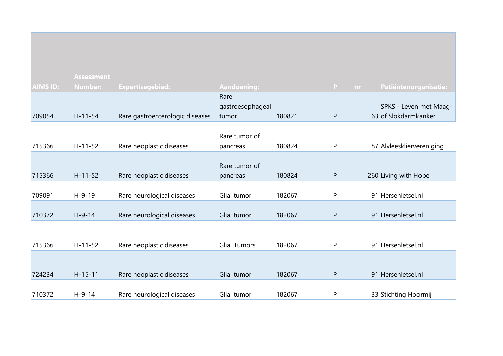|                 | <b>Assessment</b> |                                 |                     |        |              |                              |
|-----------------|-------------------|---------------------------------|---------------------|--------|--------------|------------------------------|
| <b>AIMS ID:</b> | <b>Number:</b>    | <b>Expertisegebied:</b>         | <b>Aandoening:</b>  |        | P            | Patiëntenorganisatie:<br>nr. |
|                 |                   |                                 | Rare                |        |              |                              |
|                 |                   |                                 | gastroesophageal    |        |              | SPKS - Leven met Maag-       |
| 709054          | $H - 11 - 54$     | Rare gastroenterologic diseases | tumor               | 180821 | $\mathsf{P}$ | 63 of Slokdarmkanker         |
|                 |                   |                                 |                     |        |              |                              |
|                 |                   |                                 | Rare tumor of       |        |              |                              |
| 715366          | $H-11-52$         | Rare neoplastic diseases        | pancreas            | 180824 | P            | 87 Alvleeskliervereniging    |
|                 |                   |                                 |                     |        |              |                              |
|                 |                   |                                 | Rare tumor of       |        |              |                              |
| 715366          | $H - 11 - 52$     | Rare neoplastic diseases        | pancreas            | 180824 | $\mathsf{P}$ | 260 Living with Hope         |
| 709091          | $H-9-19$          | Rare neurological diseases      | Glial tumor         | 182067 | P            | 91 Hersenletsel.nl           |
|                 |                   |                                 |                     |        |              |                              |
| 710372          | $H-9-14$          | Rare neurological diseases      | Glial tumor         | 182067 | $\mathsf{P}$ | 91 Hersenletsel.nl           |
|                 |                   |                                 |                     |        |              |                              |
|                 |                   |                                 |                     |        |              |                              |
| 715366          | $H-11-52$         | Rare neoplastic diseases        | <b>Glial Tumors</b> | 182067 | P            | 91 Hersenletsel.nl           |
|                 |                   |                                 |                     |        |              |                              |
|                 |                   |                                 |                     |        |              |                              |
| 724234          | $H-15-11$         | Rare neoplastic diseases        | Glial tumor         | 182067 | $\mathsf{P}$ | 91 Hersenletsel.nl           |
|                 |                   |                                 |                     |        |              |                              |
| 710372          | $H - 9 - 14$      | Rare neurological diseases      | Glial tumor         | 182067 | P            | 33 Stichting Hoormij         |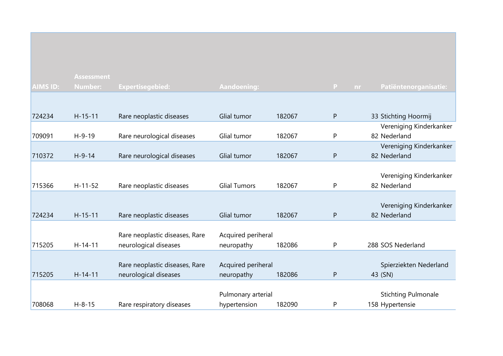|                 | <b>Assessment</b> |                                                         |                                    |        |                |                                               |
|-----------------|-------------------|---------------------------------------------------------|------------------------------------|--------|----------------|-----------------------------------------------|
| <b>AIMS ID:</b> | <b>Number:</b>    | <b>Expertisegebied:</b>                                 | <b>Aandoening:</b>                 |        | P<br><b>nr</b> | Patiëntenorganisatie:                         |
| 724234          | $H-15-11$         | Rare neoplastic diseases                                | Glial tumor                        | 182067 | P              | 33 Stichting Hoormij                          |
|                 |                   |                                                         |                                    |        |                | Vereniging Kinderkanker                       |
| 709091          | $H-9-19$          | Rare neurological diseases                              | Glial tumor                        | 182067 | P              | 82 Nederland                                  |
|                 |                   |                                                         |                                    |        |                | Vereniging Kinderkanker                       |
| 710372          | $H-9-14$          | Rare neurological diseases                              | Glial tumor                        | 182067 | P              | 82 Nederland                                  |
| 715366          | $H-11-52$         | Rare neoplastic diseases                                | <b>Glial Tumors</b>                | 182067 | P              | Vereniging Kinderkanker<br>82 Nederland       |
| 724234          | $H-15-11$         | Rare neoplastic diseases                                | Glial tumor                        | 182067 | P              | Vereniging Kinderkanker<br>82 Nederland       |
| 715205          | $H - 14 - 11$     | Rare neoplastic diseases, Rare<br>neurological diseases | Acquired periheral<br>neuropathy   | 182086 | P              | 288 SOS Nederland                             |
| 715205          | $H - 14 - 11$     | Rare neoplastic diseases, Rare<br>neurological diseases | Acquired periheral<br>neuropathy   | 182086 | P              | Spierziekten Nederland<br>43 (SN)             |
| 708068          | $H - 8 - 15$      | Rare respiratory diseases                               | Pulmonary arterial<br>hypertension | 182090 | P              | <b>Stichting Pulmonale</b><br>158 Hypertensie |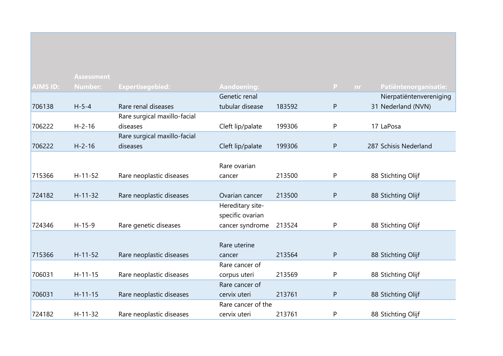|                 | <b>Assessment</b> |                              |                    |        |              |                             |
|-----------------|-------------------|------------------------------|--------------------|--------|--------------|-----------------------------|
| <b>AIMS ID:</b> | <b>Number:</b>    | <b>Expertisegebied:</b>      | <b>Aandoening:</b> |        | $\mathsf{P}$ | Patiëntenorganisatie:<br>nr |
|                 |                   |                              | Genetic renal      |        |              | Nierpatiëntenvereniging     |
| 706138          | $H - 5 - 4$       | Rare renal diseases          | tubular disease    | 183592 | $\mathsf{P}$ | 31 Nederland (NVN)          |
|                 |                   | Rare surgical maxillo-facial |                    |        |              |                             |
| 706222          | $H - 2 - 16$      | diseases                     | Cleft lip/palate   | 199306 | P            | 17 LaPosa                   |
|                 |                   | Rare surgical maxillo-facial |                    |        |              |                             |
| 706222          | $H - 2 - 16$      | diseases                     | Cleft lip/palate   | 199306 | $\mathsf{P}$ | 287 Schisis Nederland       |
|                 |                   |                              |                    |        |              |                             |
|                 |                   |                              | Rare ovarian       |        |              |                             |
| 715366          | $H-11-52$         | Rare neoplastic diseases     | cancer             | 213500 | P            | 88 Stichting Olijf          |
|                 |                   |                              |                    |        |              |                             |
| 724182          | $H-11-32$         | Rare neoplastic diseases     | Ovarian cancer     | 213500 | P            | 88 Stichting Olijf          |
|                 |                   |                              | Hereditary site-   |        |              |                             |
|                 |                   |                              | specific ovarian   |        |              |                             |
| 724346          | $H-15-9$          | Rare genetic diseases        | cancer syndrome    | 213524 | P            | 88 Stichting Olijf          |
|                 |                   |                              |                    |        |              |                             |
|                 |                   |                              | Rare uterine       |        |              |                             |
| 715366          | $H - 11 - 52$     | Rare neoplastic diseases     | cancer             | 213564 | $\mathsf{P}$ | 88 Stichting Olijf          |
|                 |                   |                              | Rare cancer of     |        |              |                             |
| 706031          | $H - 11 - 15$     | Rare neoplastic diseases     | corpus uteri       | 213569 | P            | 88 Stichting Olijf          |
|                 |                   |                              | Rare cancer of     |        |              |                             |
| 706031          | $H-11-15$         | Rare neoplastic diseases     | cervix uteri       | 213761 | P            | 88 Stichting Olijf          |
|                 |                   |                              | Rare cancer of the |        |              |                             |
| 724182          | $H - 11 - 32$     | Rare neoplastic diseases     | cervix uteri       | 213761 | P            | 88 Stichting Olijf          |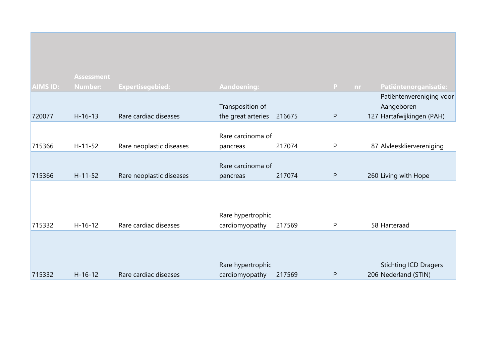| <b>AIMS ID:</b> | <b>Assessment</b><br><b>Number:</b> | <b>Expertisegebied:</b>  | <b>Aandoening:</b>                     |        | $\mathbf{P}$ | nr. | Patiëntenorganisatie:                                               |
|-----------------|-------------------------------------|--------------------------|----------------------------------------|--------|--------------|-----|---------------------------------------------------------------------|
| 720077          | $H - 16 - 13$                       | Rare cardiac diseases    | Transposition of<br>the great arteries | 216675 | P            |     | Patiëntenvereniging voor<br>Aangeboren<br>127 Hartafwijkingen (PAH) |
| 715366          | $H-11-52$                           | Rare neoplastic diseases | Rare carcinoma of<br>pancreas          | 217074 | P            |     | 87 Alvleeskliervereniging                                           |
| 715366          | $H - 11 - 52$                       | Rare neoplastic diseases | Rare carcinoma of<br>pancreas          | 217074 | $\mathsf{P}$ |     | 260 Living with Hope                                                |
|                 |                                     |                          | Rare hypertrophic                      |        |              |     |                                                                     |
| 715332          | $H-16-12$                           | Rare cardiac diseases    | cardiomyopathy                         | 217569 | P            |     | 58 Harteraad                                                        |
| 715332          | $H - 16 - 12$                       | Rare cardiac diseases    | Rare hypertrophic<br>cardiomyopathy    | 217569 | P            |     | <b>Stichting ICD Dragers</b><br>206 Nederland (STIN)                |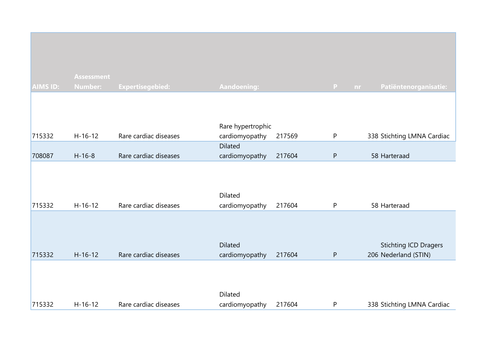|                 | <b>Assessment</b> |                       |                                  |        |           |                                                      |
|-----------------|-------------------|-----------------------|----------------------------------|--------|-----------|------------------------------------------------------|
| <b>AIMS ID:</b> | <b>Number:</b>    | Expertisegebied:      | <b>Aandoening:</b>               |        | P<br>nr.  | Patiëntenorganisatie:                                |
|                 |                   |                       | Rare hypertrophic                |        |           |                                                      |
| 715332          | $H-16-12$         | Rare cardiac diseases | cardiomyopathy                   | 217569 | P         | 338 Stichting LMNA Cardiac                           |
|                 |                   |                       | <b>Dilated</b>                   |        |           |                                                      |
| 708087          | $H-16-8$          | Rare cardiac diseases | cardiomyopathy                   | 217604 | ${\sf P}$ | 58 Harteraad                                         |
| 715332          | $H-16-12$         | Rare cardiac diseases | Dilated<br>cardiomyopathy        | 217604 | P         | 58 Harteraad                                         |
| 715332          | $H - 16 - 12$     | Rare cardiac diseases | <b>Dilated</b><br>cardiomyopathy | 217604 | ${\sf P}$ | <b>Stichting ICD Dragers</b><br>206 Nederland (STIN) |
| 715332          | $H - 16 - 12$     | Rare cardiac diseases | Dilated<br>cardiomyopathy        | 217604 | P         | 338 Stichting LMNA Cardiac                           |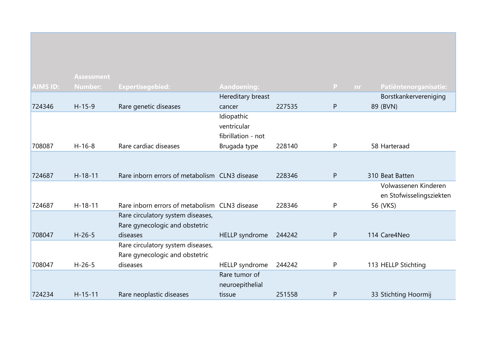|                 | <b>Assessment</b> |                                               |                    |        |          |                          |
|-----------------|-------------------|-----------------------------------------------|--------------------|--------|----------|--------------------------|
| <b>AIMS ID:</b> | <b>Number:</b>    | <b>Expertisegebied:</b>                       | <b>Aandoening:</b> |        | P<br>nr. | Patiëntenorganisatie:    |
|                 |                   |                                               | Hereditary breast  |        |          | Borstkankervereniging    |
| 724346          | $H-15-9$          | Rare genetic diseases                         | cancer             | 227535 | P        | 89 (BVN)                 |
|                 |                   |                                               | Idiopathic         |        |          |                          |
|                 |                   |                                               | ventricular        |        |          |                          |
|                 |                   |                                               | fibrillation - not |        |          |                          |
| 708087          | $H - 16 - 8$      | Rare cardiac diseases                         | Brugada type       | 228140 | P        | 58 Harteraad             |
|                 |                   |                                               |                    |        |          |                          |
|                 |                   |                                               |                    |        |          |                          |
| 724687          | $H - 18 - 11$     | Rare inborn errors of metabolism CLN3 disease |                    | 228346 | P        | 310 Beat Batten          |
|                 |                   |                                               |                    |        |          | Volwassenen Kinderen     |
|                 |                   |                                               |                    |        |          | en Stofwisselingsziekten |
| 724687          | $H-18-11$         | Rare inborn errors of metabolism CLN3 disease |                    | 228346 | P        | 56 (VKS)                 |
|                 |                   | Rare circulatory system diseases,             |                    |        |          |                          |
|                 |                   | Rare gynecologic and obstetric                |                    |        |          |                          |
| 708047          | $H-26-5$          | diseases                                      | HELLP syndrome     | 244242 | P        | 114 Care4Neo             |
|                 |                   | Rare circulatory system diseases,             |                    |        |          |                          |
|                 |                   | Rare gynecologic and obstetric                |                    |        |          |                          |
| 708047          | $H - 26 - 5$      | diseases                                      | HELLP syndrome     | 244242 | P        | 113 HELLP Stichting      |
|                 |                   |                                               | Rare tumor of      |        |          |                          |
|                 |                   |                                               | neuroepithelial    |        |          |                          |
| 724234          | $H - 15 - 11$     | Rare neoplastic diseases                      | tissue             | 251558 | P        | 33 Stichting Hoormij     |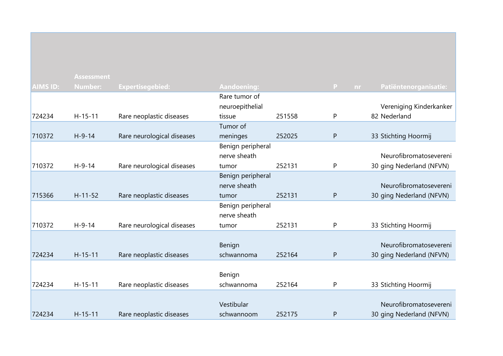|                 | <b>Assessment</b> |                            |                      |        |              |                          |
|-----------------|-------------------|----------------------------|----------------------|--------|--------------|--------------------------|
| <b>AIMS ID:</b> | <b>Number:</b>    | <b>Expertisegebied:</b>    | <b>Aandoening:</b>   |        | P<br>nr      | Patiëntenorganisatie:    |
|                 |                   |                            | Rare tumor of        |        |              |                          |
|                 |                   |                            | neuroepithelial      |        |              | Vereniging Kinderkanker  |
| 724234          | $H - 15 - 11$     | Rare neoplastic diseases   | tissue               | 251558 | P            | 82 Nederland             |
|                 |                   |                            | Tumor of             |        |              |                          |
| 710372          | $H-9-14$          | Rare neurological diseases | meninges             | 252025 | P            | 33 Stichting Hoormij     |
|                 |                   |                            | Benign peripheral    |        |              |                          |
|                 |                   |                            | nerve sheath         |        |              | Neurofibromatosevereni   |
| 710372          | $H - 9 - 14$      | Rare neurological diseases | tumor                | 252131 | P            | 30 ging Nederland (NFVN) |
|                 |                   |                            | Benign peripheral    |        |              |                          |
|                 |                   |                            | nerve sheath         |        |              | Neurofibromatosevereni   |
| 715366          | $H - 11 - 52$     | Rare neoplastic diseases   | tumor                | 252131 | P            | 30 ging Nederland (NFVN) |
|                 |                   |                            | Benign peripheral    |        |              |                          |
|                 |                   |                            | nerve sheath         |        |              |                          |
| 710372          | $H-9-14$          | Rare neurological diseases | tumor                | 252131 | P            | 33 Stichting Hoormij     |
|                 |                   |                            |                      |        |              |                          |
|                 |                   |                            | Benign               |        |              | Neurofibromatosevereni   |
| 724234          | $H - 15 - 11$     | Rare neoplastic diseases   | schwannoma           | 252164 | P            | 30 ging Nederland (NFVN) |
|                 |                   |                            |                      |        |              |                          |
| 724234          | $H - 15 - 11$     | Rare neoplastic diseases   | Benign<br>schwannoma | 252164 | P            | 33 Stichting Hoormij     |
|                 |                   |                            |                      |        |              |                          |
|                 |                   |                            | Vestibular           |        |              | Neurofibromatosevereni   |
| 724234          | $H - 15 - 11$     | Rare neoplastic diseases   | schwannoom           | 252175 | $\mathsf{P}$ | 30 ging Nederland (NFVN) |
|                 |                   |                            |                      |        |              |                          |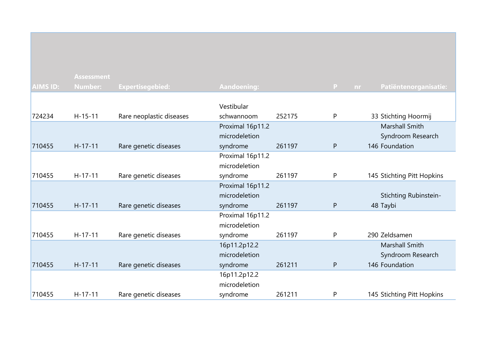|                 | <b>Assessment</b> |                          |                    |        |                |                            |
|-----------------|-------------------|--------------------------|--------------------|--------|----------------|----------------------------|
| <b>AIMS ID:</b> | <b>Number:</b>    | <b>Expertisegebied:</b>  | <b>Aandoening:</b> |        | P<br><b>nr</b> | Patiëntenorganisatie:      |
|                 |                   |                          |                    |        |                |                            |
|                 |                   |                          | Vestibular         |        |                |                            |
| 724234          | $H - 15 - 11$     | Rare neoplastic diseases | schwannoom         | 252175 | P              | 33 Stichting Hoormij       |
|                 |                   |                          | Proximal 16p11.2   |        |                | Marshall Smith             |
|                 |                   |                          | microdeletion      |        |                | Syndroom Research          |
| 710455          | $H-17-11$         | Rare genetic diseases    | syndrome           | 261197 | P              | 146 Foundation             |
|                 |                   |                          | Proximal 16p11.2   |        |                |                            |
|                 |                   |                          | microdeletion      |        |                |                            |
| 710455          | $H-17-11$         | Rare genetic diseases    | syndrome           | 261197 | P              | 145 Stichting Pitt Hopkins |
|                 |                   |                          | Proximal 16p11.2   |        |                |                            |
|                 |                   |                          | microdeletion      |        |                | Stichting Rubinstein-      |
| 710455          | $H-17-11$         | Rare genetic diseases    | syndrome           | 261197 | P              | 48 Taybi                   |
|                 |                   |                          | Proximal 16p11.2   |        |                |                            |
|                 |                   |                          | microdeletion      |        |                |                            |
| 710455          | $H-17-11$         | Rare genetic diseases    | syndrome           | 261197 | P              | 290 Zeldsamen              |
|                 |                   |                          | 16p11.2p12.2       |        |                | Marshall Smith             |
|                 |                   |                          | microdeletion      |        |                | Syndroom Research          |
| 710455          | $H - 17 - 11$     | Rare genetic diseases    | syndrome           | 261211 | P              | 146 Foundation             |
|                 |                   |                          | 16p11.2p12.2       |        |                |                            |
|                 |                   |                          | microdeletion      |        |                |                            |
| 710455          | $H-17-11$         | Rare genetic diseases    | syndrome           | 261211 | P              | 145 Stichting Pitt Hopkins |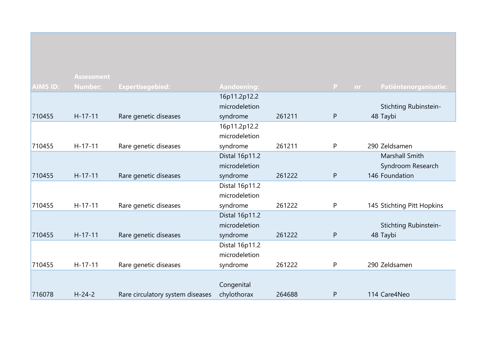|                 | <b>Assessment</b> |                                  |                    |        |   |           |                            |
|-----------------|-------------------|----------------------------------|--------------------|--------|---|-----------|----------------------------|
| <b>AIMS ID:</b> | <b>Number:</b>    | <b>Expertisegebied:</b>          | <b>Aandoening:</b> |        | P | <b>nr</b> | Patiëntenorganisatie:      |
|                 |                   |                                  | 16p11.2p12.2       |        |   |           |                            |
|                 |                   |                                  | microdeletion      |        |   |           | Stichting Rubinstein-      |
| 710455          | $H-17-11$         | Rare genetic diseases            | syndrome           | 261211 | P |           | 48 Taybi                   |
|                 |                   |                                  | 16p11.2p12.2       |        |   |           |                            |
|                 |                   |                                  | microdeletion      |        |   |           |                            |
| 710455          | $H-17-11$         | Rare genetic diseases            | syndrome           | 261211 | P |           | 290 Zeldsamen              |
|                 |                   |                                  | Distal 16p11.2     |        |   |           | Marshall Smith             |
|                 |                   |                                  | microdeletion      |        |   |           | Syndroom Research          |
| 710455          | $H-17-11$         | Rare genetic diseases            | syndrome           | 261222 | P |           | 146 Foundation             |
|                 |                   |                                  | Distal 16p11.2     |        |   |           |                            |
|                 |                   |                                  | microdeletion      |        |   |           |                            |
| 710455          | $H-17-11$         | Rare genetic diseases            | syndrome           | 261222 | P |           | 145 Stichting Pitt Hopkins |
|                 |                   |                                  | Distal 16p11.2     |        |   |           |                            |
|                 |                   |                                  | microdeletion      |        |   |           | Stichting Rubinstein-      |
| 710455          | $H-17-11$         | Rare genetic diseases            | syndrome           | 261222 | P |           | 48 Taybi                   |
|                 |                   |                                  | Distal 16p11.2     |        |   |           |                            |
|                 |                   |                                  | microdeletion      |        |   |           |                            |
| 710455          | $H-17-11$         | Rare genetic diseases            | syndrome           | 261222 | P |           | 290 Zeldsamen              |
|                 |                   |                                  |                    |        |   |           |                            |
|                 |                   |                                  | Congenital         |        |   |           |                            |
| 716078          | $H - 24 - 2$      | Rare circulatory system diseases | chylothorax        | 264688 | P |           | 114 Care4Neo               |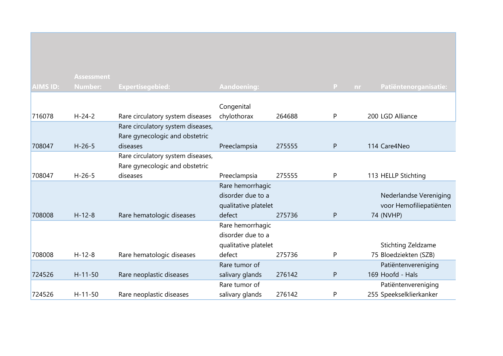|                 | <b>Assessment</b> |                                   |                      |        |              |                                    |
|-----------------|-------------------|-----------------------------------|----------------------|--------|--------------|------------------------------------|
| <b>AIMS ID:</b> | <b>Number:</b>    | <b>Expertisegebied:</b>           | <b>Aandoening:</b>   |        | $\mathsf{P}$ | Patiëntenorganisatie:<br><b>nr</b> |
|                 |                   |                                   |                      |        |              |                                    |
|                 |                   |                                   | Congenital           |        |              |                                    |
| 716078          | $H - 24 - 2$      | Rare circulatory system diseases  | chylothorax          | 264688 | P            | 200 LGD Alliance                   |
|                 |                   | Rare circulatory system diseases, |                      |        |              |                                    |
|                 |                   | Rare gynecologic and obstetric    |                      |        |              |                                    |
| 708047          | $H - 26 - 5$      | diseases                          | Preeclampsia         | 275555 | $\mathsf{P}$ | 114 Care4Neo                       |
|                 |                   | Rare circulatory system diseases, |                      |        |              |                                    |
|                 |                   | Rare gynecologic and obstetric    |                      |        |              |                                    |
| 708047          | $H - 26 - 5$      | diseases                          | Preeclampsia         | 275555 | P            | 113 HELLP Stichting                |
|                 |                   |                                   | Rare hemorrhagic     |        |              |                                    |
|                 |                   |                                   | disorder due to a    |        |              | Nederlandse Vereniging             |
|                 |                   |                                   | qualitative platelet |        |              | voor Hemofiliepatiënten            |
| 708008          | $H-12-8$          | Rare hematologic diseases         | defect               | 275736 | P            | 74 (NVHP)                          |
|                 |                   |                                   | Rare hemorrhagic     |        |              |                                    |
|                 |                   |                                   | disorder due to a    |        |              |                                    |
|                 |                   |                                   | qualitative platelet |        |              | Stichting Zeldzame                 |
| 708008          | $H - 12 - 8$      | Rare hematologic diseases         | defect               | 275736 | P            | 75 Bloedziekten (SZB)              |
|                 |                   |                                   | Rare tumor of        |        |              | Patiëntenvereniging                |
| 724526          | $H - 11 - 50$     | Rare neoplastic diseases          | salivary glands      | 276142 | P            | 169 Hoofd - Hals                   |
|                 |                   |                                   | Rare tumor of        |        |              | Patiëntenvereniging                |
| 724526          | $H - 11 - 50$     | Rare neoplastic diseases          | salivary glands      | 276142 | P            | 255 Speekselklierkanker            |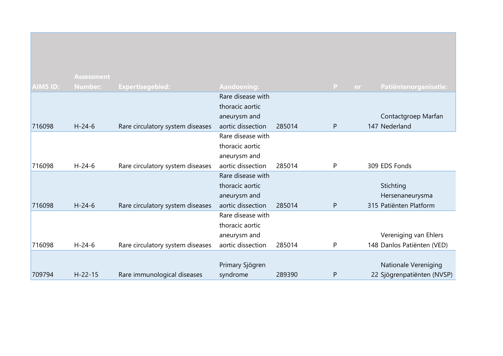|                 | <b>Assessment</b> |                                  |                    |        |              |           |                             |
|-----------------|-------------------|----------------------------------|--------------------|--------|--------------|-----------|-----------------------------|
| <b>AIMS ID:</b> | <b>Number:</b>    | <b>Expertisegebied:</b>          | <b>Aandoening:</b> |        | $\mathbf{P}$ | <b>nr</b> | Patiëntenorganisatie:       |
|                 |                   |                                  | Rare disease with  |        |              |           |                             |
|                 |                   |                                  | thoracic aortic    |        |              |           |                             |
|                 |                   |                                  | aneurysm and       |        |              |           | Contactgroep Marfan         |
| 716098          | $H - 24 - 6$      | Rare circulatory system diseases | aortic dissection  | 285014 | $\mathsf{P}$ |           | 147 Nederland               |
|                 |                   |                                  | Rare disease with  |        |              |           |                             |
|                 |                   |                                  | thoracic aortic    |        |              |           |                             |
|                 |                   |                                  | aneurysm and       |        |              |           |                             |
| 716098          | $H - 24 - 6$      | Rare circulatory system diseases | aortic dissection  | 285014 | P            |           | 309 EDS Fonds               |
|                 |                   |                                  | Rare disease with  |        |              |           |                             |
|                 |                   |                                  | thoracic aortic    |        |              |           | Stichting                   |
|                 |                   |                                  | aneurysm and       |        |              |           | Hersenaneurysma             |
| 716098          | $H - 24 - 6$      | Rare circulatory system diseases | aortic dissection  | 285014 | $\mathsf{P}$ |           | 315 Patiënten Platform      |
|                 |                   |                                  | Rare disease with  |        |              |           |                             |
|                 |                   |                                  | thoracic aortic    |        |              |           |                             |
|                 |                   |                                  | aneurysm and       |        |              |           | Vereniging van Ehlers       |
| 716098          | $H - 24 - 6$      | Rare circulatory system diseases | aortic dissection  | 285014 | P            |           | 148 Danlos Patiënten (VED)  |
|                 |                   |                                  |                    |        |              |           |                             |
|                 |                   |                                  | Primary Sjögren    |        |              |           | <b>Nationale Vereniging</b> |
| 709794          | $H - 22 - 15$     | Rare immunological diseases      | syndrome           | 289390 | $\mathsf{P}$ |           | 22 Sjögrenpatiënten (NVSP)  |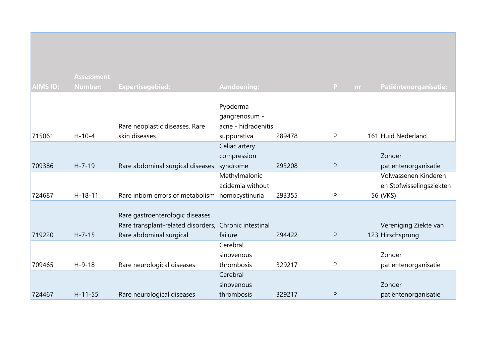| <b>AIMS ID:</b> | <b>Assessment</b><br><b>Number:</b> | <b>Expertisegebied:</b>                                                                                              | <b>Aandoening:</b>                                              |        | $\mathbf{P}$ | nr | Patiëntenorganisatie:                                        |
|-----------------|-------------------------------------|----------------------------------------------------------------------------------------------------------------------|-----------------------------------------------------------------|--------|--------------|----|--------------------------------------------------------------|
| 715061          | $H-10-4$                            | Rare neoplastic diseases, Rare<br>skin diseases                                                                      | Pyoderma<br>gangrenosum -<br>acne - hidradenitis<br>suppurativa | 289478 | P            |    | 161 Huid Nederland                                           |
| 709386          | $H - 7 - 19$                        | Rare abdominal surgical diseases                                                                                     | Celiac artery<br>compression<br>syndrome                        | 293208 | $\mathsf{P}$ |    | Zonder<br>patiëntenorganisatie                               |
| 724687          | $H-18-11$                           | Rare inborn errors of metabolism homocystinuria                                                                      | Methylmalonic<br>acidemia without                               | 293355 | P            |    | Volwassenen Kinderen<br>en Stofwisselingsziekten<br>56 (VKS) |
| 719220          | $H - 7 - 15$                        | Rare gastroenterologic diseases,<br>Rare transplant-related disorders, Chronic intestinal<br>Rare abdominal surgical | failure                                                         | 294422 | ${\sf P}$    |    | Vereniging Ziekte van<br>123 Hirschsprung                    |
| 709465          | $H-9-18$                            | Rare neurological diseases                                                                                           | Cerebral<br>sinovenous<br>thrombosis                            | 329217 | P            |    | Zonder<br>patiëntenorganisatie                               |
| 724467          | $H - 11 - 55$                       | Rare neurological diseases                                                                                           | Cerebral<br>sinovenous<br>thrombosis                            | 329217 | $\mathsf{P}$ |    | Zonder<br>patiëntenorganisatie                               |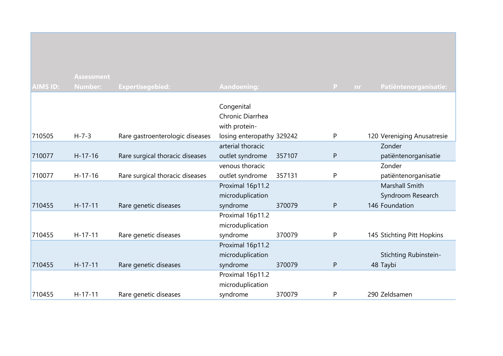|                 | <b>Assessment</b> |                                 |                                                 |        |                    |                                      |
|-----------------|-------------------|---------------------------------|-------------------------------------------------|--------|--------------------|--------------------------------------|
| <b>AIMS ID:</b> | <b>Number:</b>    | <b>Expertisegebied:</b>         | Aandoening:                                     |        | $\mathbf{P}$<br>nr | Patiëntenorganisatie:                |
| 710505          | $H - 7 - 3$       |                                 | Congenital<br>Chronic Diarrhea<br>with protein- |        | P                  |                                      |
|                 |                   | Rare gastroenterologic diseases | losing enteropathy 329242<br>arterial thoracic  |        |                    | 120 Vereniging Anusatresie<br>Zonder |
| 710077          | $H-17-16$         | Rare surgical thoracic diseases | outlet syndrome                                 | 357107 | $\mathsf{P}$       | patiëntenorganisatie                 |
| 710077          | $H-17-16$         | Rare surgical thoracic diseases | venous thoracic<br>outlet syndrome              | 357131 | P                  | Zonder<br>patiëntenorganisatie       |
|                 |                   |                                 | Proximal 16p11.2<br>microduplication            |        |                    | Marshall Smith<br>Syndroom Research  |
| 710455          | $H-17-11$         | Rare genetic diseases           | syndrome                                        | 370079 | $\mathsf{P}$       | 146 Foundation                       |
|                 |                   |                                 | Proximal 16p11.2<br>microduplication            |        |                    |                                      |
| 710455          | $H-17-11$         | Rare genetic diseases           | syndrome                                        | 370079 | P                  | 145 Stichting Pitt Hopkins           |
|                 |                   |                                 | Proximal 16p11.2<br>microduplication            |        |                    | Stichting Rubinstein-                |
| 710455          | $H - 17 - 11$     | Rare genetic diseases           | syndrome                                        | 370079 | $\mathsf{P}$       | 48 Taybi                             |
|                 |                   |                                 | Proximal 16p11.2<br>microduplication            |        |                    |                                      |
| 710455          | $H-17-11$         | Rare genetic diseases           | syndrome                                        | 370079 | P                  | 290 Zeldsamen                        |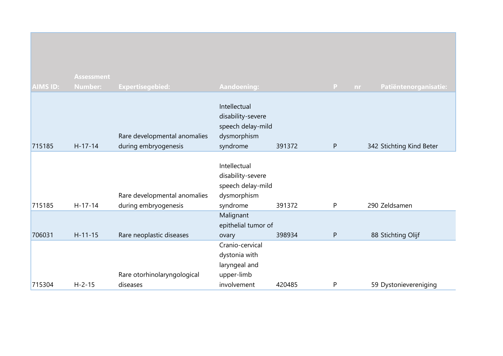|                 | <b>Assessment</b> |                                                      |                                                                                   |        |                     |                          |
|-----------------|-------------------|------------------------------------------------------|-----------------------------------------------------------------------------------|--------|---------------------|--------------------------|
| <b>AIMS ID:</b> | <b>Number:</b>    | <b>Expertisegebied:</b>                              | <b>Aandoening:</b>                                                                |        | $\mathbf{P}$<br>nr. | Patiëntenorganisatie:    |
| 715185          | $H-17-14$         | Rare developmental anomalies<br>during embryogenesis | Intellectual<br>disability-severe<br>speech delay-mild<br>dysmorphism<br>syndrome | 391372 | P                   | 342 Stichting Kind Beter |
| 715185          | $H - 17 - 14$     | Rare developmental anomalies<br>during embryogenesis | Intellectual<br>disability-severe<br>speech delay-mild<br>dysmorphism<br>syndrome | 391372 | P                   | 290 Zeldsamen            |
| 706031          | $H - 11 - 15$     | Rare neoplastic diseases                             | Malignant<br>epithelial tumor of<br>ovary                                         | 398934 | P                   | 88 Stichting Olijf       |
|                 |                   | Rare otorhinolaryngological                          | Cranio-cervical<br>dystonia with<br>laryngeal and<br>upper-limb                   |        |                     |                          |
| 715304          | $H - 2 - 15$      | diseases                                             | involvement                                                                       | 420485 | P                   | 59 Dystonievereniging    |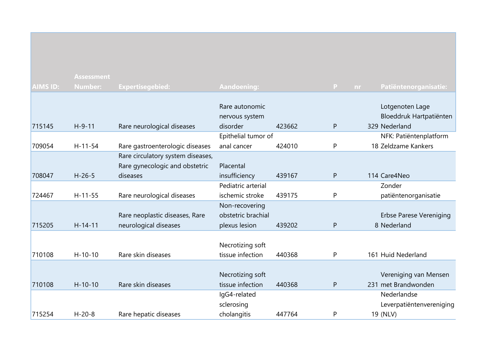|                 | <b>Assessment</b> |                                   |                     |        |              |    |                                |
|-----------------|-------------------|-----------------------------------|---------------------|--------|--------------|----|--------------------------------|
| <b>AIMS ID:</b> | <b>Number:</b>    | <b>Expertisegebied:</b>           | <b>Aandoening:</b>  |        | P            | nr | Patiëntenorganisatie:          |
|                 |                   |                                   |                     |        |              |    |                                |
|                 |                   |                                   | Rare autonomic      |        |              |    | Lotgenoten Lage                |
|                 |                   |                                   | nervous system      |        |              |    | Bloeddruk Hartpatiënten        |
| 715145          | $H-9-11$          | Rare neurological diseases        | disorder            | 423662 | $\mathsf{P}$ |    | 329 Nederland                  |
|                 |                   |                                   | Epithelial tumor of |        |              |    | NFK: Patiëntenplatform         |
| 709054          | $H - 11 - 54$     | Rare gastroenterologic diseases   | anal cancer         | 424010 | $\mathsf{P}$ |    | 18 Zeldzame Kankers            |
|                 |                   | Rare circulatory system diseases, |                     |        |              |    |                                |
|                 |                   | Rare gynecologic and obstetric    | Placental           |        |              |    |                                |
| 708047          | $H - 26 - 5$      | diseases                          | insufficiency       | 439167 | ${\sf P}$    |    | 114 Care4Neo                   |
|                 |                   |                                   | Pediatric arterial  |        |              |    | Zonder                         |
| 724467          | $H-11-55$         | Rare neurological diseases        | ischemic stroke     | 439175 | P            |    | patiëntenorganisatie           |
|                 |                   |                                   | Non-recovering      |        |              |    |                                |
|                 |                   | Rare neoplastic diseases, Rare    | obstetric brachial  |        |              |    | <b>Erbse Parese Vereniging</b> |
| 715205          | $H-14-11$         | neurological diseases             | plexus lesion       | 439202 | ${\sf P}$    |    | 8 Nederland                    |
|                 |                   |                                   |                     |        |              |    |                                |
|                 |                   |                                   | Necrotizing soft    |        |              |    |                                |
| 710108          | $H - 10 - 10$     | Rare skin diseases                | tissue infection    | 440368 | P            |    | 161 Huid Nederland             |
|                 |                   |                                   |                     |        |              |    |                                |
|                 |                   |                                   | Necrotizing soft    |        |              |    | Vereniging van Mensen          |
| 710108          | $H - 10 - 10$     | Rare skin diseases                | tissue infection    | 440368 | ${\sf P}$    |    | 231 met Brandwonden            |
|                 |                   |                                   | IgG4-related        |        |              |    | Nederlandse                    |
|                 |                   |                                   | sclerosing          |        |              |    | Leverpatiëntenvereniging       |
| 715254          | $H - 20 - 8$      | Rare hepatic diseases             | cholangitis         | 447764 | P            |    | 19 (NLV)                       |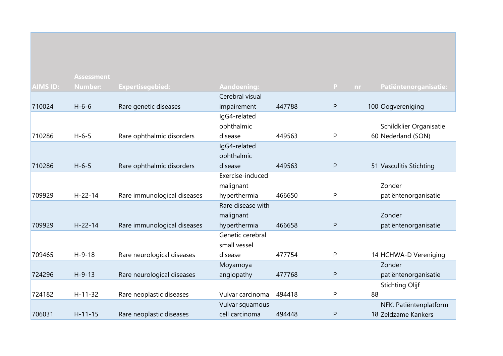|                 | <b>Assessment</b> |                             |                    |        |              |                              |
|-----------------|-------------------|-----------------------------|--------------------|--------|--------------|------------------------------|
| <b>AIMS ID:</b> | Number:           | <b>Expertisegebied:</b>     | <b>Aandoening:</b> |        | $\mathbf{P}$ | Patiëntenorganisatie:<br>nr. |
|                 |                   |                             | Cerebral visual    |        |              |                              |
| 710024          | $H - 6 - 6$       | Rare genetic diseases       | impairement        | 447788 | P            | 100 Oogvereniging            |
|                 |                   |                             | IgG4-related       |        |              |                              |
|                 |                   |                             | ophthalmic         |        |              | Schildklier Organisatie      |
| 710286          | $H - 6 - 5$       | Rare ophthalmic disorders   | disease            | 449563 | P            | 60 Nederland (SON)           |
|                 |                   |                             | IgG4-related       |        |              |                              |
|                 |                   |                             | ophthalmic         |        |              |                              |
| 710286          | $H - 6 - 5$       | Rare ophthalmic disorders   | disease            | 449563 | $\mathsf{P}$ | 51 Vasculitis Stichting      |
|                 |                   |                             | Exercise-induced   |        |              |                              |
|                 |                   |                             | malignant          |        |              | Zonder                       |
| 709929          | $H - 22 - 14$     | Rare immunological diseases | hyperthermia       | 466650 | P            | patiëntenorganisatie         |
|                 |                   |                             | Rare disease with  |        |              |                              |
|                 |                   |                             | malignant          |        |              | Zonder                       |
| 709929          | $H - 22 - 14$     | Rare immunological diseases | hyperthermia       | 466658 | P            | patiëntenorganisatie         |
|                 |                   |                             | Genetic cerebral   |        |              |                              |
|                 |                   |                             | small vessel       |        |              |                              |
| 709465          | $H-9-18$          | Rare neurological diseases  | disease            | 477754 | P            | 14 HCHWA-D Vereniging        |
|                 |                   |                             | Moyamoya           |        |              | Zonder                       |
| 724296          | $H - 9 - 13$      | Rare neurological diseases  | angiopathy         | 477768 | $\mathsf{P}$ | patiëntenorganisatie         |
|                 |                   |                             |                    |        |              | <b>Stichting Olijf</b>       |
| 724182          | $H - 11 - 32$     | Rare neoplastic diseases    | Vulvar carcinoma   | 494418 | P            | 88                           |
|                 |                   |                             | Vulvar squamous    |        |              | NFK: Patiëntenplatform       |
| 706031          | $H - 11 - 15$     | Rare neoplastic diseases    | cell carcinoma     | 494448 | P            | 18 Zeldzame Kankers          |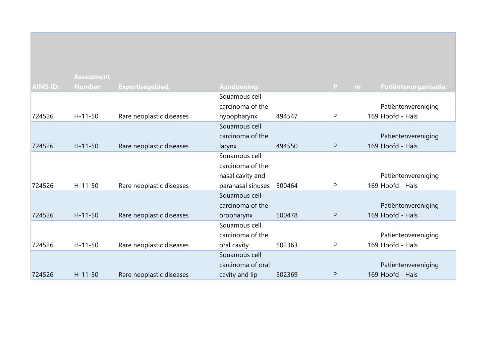|                 | <b>Assessment</b> |                          |                    |        |                           |                       |
|-----------------|-------------------|--------------------------|--------------------|--------|---------------------------|-----------------------|
| <b>AIMS ID:</b> | <b>Number:</b>    | <b>Expertisegebied:</b>  | <b>Aandoening:</b> |        | $\mathbf{P}$<br><b>nr</b> | Patiëntenorganisatie: |
|                 |                   |                          | Squamous cell      |        |                           |                       |
|                 |                   |                          | carcinoma of the   |        |                           | Patiëntenvereniging   |
| 724526          | $H - 11 - 50$     | Rare neoplastic diseases | hypopharynx        | 494547 | P                         | 169 Hoofd - Hals      |
|                 |                   |                          | Squamous cell      |        |                           |                       |
|                 |                   |                          | carcinoma of the   |        |                           | Patiëntenvereniging   |
| 724526          | $H - 11 - 50$     | Rare neoplastic diseases | larynx             | 494550 | $\mathsf{P}$              | 169 Hoofd - Hals      |
|                 |                   |                          | Squamous cell      |        |                           |                       |
|                 |                   |                          | carcinoma of the   |        |                           |                       |
|                 |                   |                          | nasal cavity and   |        |                           | Patiëntenvereniging   |
| 724526          | $H-11-50$         | Rare neoplastic diseases | paranasal sinuses  | 500464 | P                         | 169 Hoofd - Hals      |
|                 |                   |                          | Squamous cell      |        |                           |                       |
|                 |                   |                          | carcinoma of the   |        |                           | Patiëntenvereniging   |
| 724526          | $H - 11 - 50$     | Rare neoplastic diseases | oropharynx         | 500478 | P                         | 169 Hoofd - Hals      |
|                 |                   |                          | Squamous cell      |        |                           |                       |
|                 |                   |                          | carcinoma of the   |        |                           | Patiëntenvereniging   |
| 724526          | $H-11-50$         | Rare neoplastic diseases | oral cavity        | 502363 | P                         | 169 Hoofd - Hals      |
|                 |                   |                          | Squamous cell      |        |                           |                       |
|                 |                   |                          | carcinoma of oral  |        |                           | Patiëntenvereniging   |
| 724526          | $H - 11 - 50$     | Rare neoplastic diseases | cavity and lip     | 502369 | P                         | 169 Hoofd - Hals      |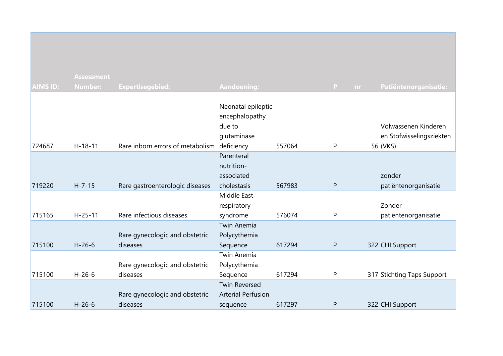| <b>AIMS ID:</b> | <b>Assessment</b> |                                             |                                      |        | $\mathbf{P}$ |                            |
|-----------------|-------------------|---------------------------------------------|--------------------------------------|--------|--------------|----------------------------|
|                 | <b>Number:</b>    | Expertisegebied:                            | <b>Aandoening:</b>                   |        | nr.          | Patiëntenorganisatie:      |
|                 |                   |                                             | Neonatal epileptic<br>encephalopathy |        |              |                            |
|                 |                   |                                             | due to                               |        |              | Volwassenen Kinderen       |
|                 |                   |                                             | glutaminase                          |        |              | en Stofwisselingsziekten   |
| 724687          | $H-18-11$         | Rare inborn errors of metabolism deficiency |                                      | 557064 | P            | 56 (VKS)                   |
|                 |                   |                                             | Parenteral                           |        |              |                            |
|                 |                   |                                             | nutrition-                           |        |              |                            |
|                 |                   |                                             | associated                           |        |              | zonder                     |
| 719220          | $H - 7 - 15$      | Rare gastroenterologic diseases             | cholestasis                          | 567983 | $\mathsf{P}$ | patiëntenorganisatie       |
|                 |                   |                                             | Middle East                          |        |              |                            |
|                 |                   |                                             | respiratory                          |        |              | Zonder                     |
| 715165          | $H - 25 - 11$     | Rare infectious diseases                    | syndrome                             | 576074 | P            | patiëntenorganisatie       |
|                 |                   |                                             | <b>Twin Anemia</b>                   |        |              |                            |
|                 |                   | Rare gynecologic and obstetric              | Polycythemia                         |        |              |                            |
| 715100          | $H-26-6$          | diseases                                    | Sequence                             | 617294 | P            | 322 CHI Support            |
|                 |                   |                                             | <b>Twin Anemia</b>                   |        |              |                            |
|                 |                   | Rare gynecologic and obstetric              | Polycythemia                         |        |              |                            |
| 715100          | $H - 26 - 6$      | diseases                                    | Sequence                             | 617294 | P            | 317 Stichting Taps Support |
|                 |                   |                                             | <b>Twin Reversed</b>                 |        |              |                            |
|                 |                   | Rare gynecologic and obstetric              | <b>Arterial Perfusion</b>            |        |              |                            |
| 715100          | $H - 26 - 6$      | diseases                                    | sequence                             | 617297 | $\mathsf{P}$ | 322 CHI Support            |